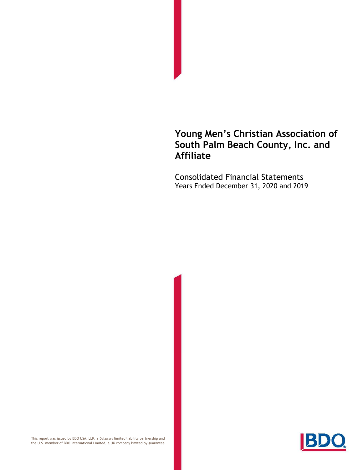# **Young Men's Christian Association of South Palm Beach County, Inc. and Affiliate**

Consolidated Financial Statements Years Ended December 31, 2020 and 2019



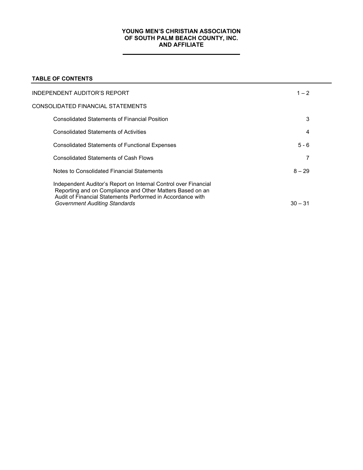# **TABLE OF CONTENTS**

| INDEPENDENT AUDITOR'S REPORT                                                                                                                                                                                                       | $1 - 2$   |  |
|------------------------------------------------------------------------------------------------------------------------------------------------------------------------------------------------------------------------------------|-----------|--|
| CONSOLIDATED FINANCIAL STATEMENTS                                                                                                                                                                                                  |           |  |
| <b>Consolidated Statements of Financial Position</b>                                                                                                                                                                               | 3         |  |
| <b>Consolidated Statements of Activities</b>                                                                                                                                                                                       | 4         |  |
| <b>Consolidated Statements of Functional Expenses</b>                                                                                                                                                                              | $5 - 6$   |  |
| <b>Consolidated Statements of Cash Flows</b>                                                                                                                                                                                       |           |  |
| Notes to Consolidated Financial Statements                                                                                                                                                                                         | $8 - 29$  |  |
| Independent Auditor's Report on Internal Control over Financial<br>Reporting and on Compliance and Other Matters Based on an<br>Audit of Financial Statements Performed in Accordance with<br><b>Government Auditing Standards</b> | $30 - 31$ |  |
|                                                                                                                                                                                                                                    |           |  |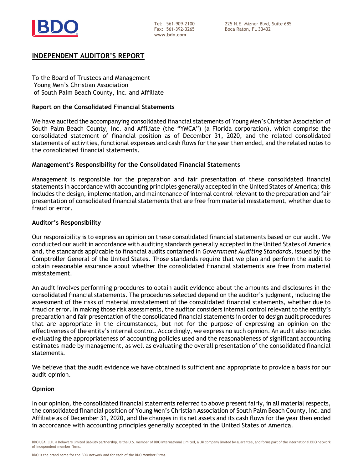

# **INDEPENDENT AUDITOR'S REPORT**

To the Board of Trustees and Management Young Men's Christian Association of South Palm Beach County, Inc. and Affiliate

# **Report on the Consolidated Financial Statements**

We have audited the accompanying consolidated financial statements of Young Men's Christian Association of South Palm Beach County, Inc. and Affiliate (the "YMCA") (a Florida corporation), which comprise the consolidated statement of financial position as of December 31, 2020, and the related consolidated statements of activities, functional expenses and cash flows for the year then ended, and the related notes to the consolidated financial statements.

# **Management's Responsibility for the Consolidated Financial Statements**

Management is responsible for the preparation and fair presentation of these consolidated financial statements in accordance with accounting principles generally accepted in the United States of America; this includes the design, implementation, and maintenance of internal control relevant to the preparation and fair presentation of consolidated financial statements that are free from material misstatement, whether due to fraud or error.

# **Auditor's Responsibility**

Our responsibility is to express an opinion on these consolidated financial statements based on our audit. We conducted our audit in accordance with auditing standards generally accepted in the United States of America and, the standards applicable to financial audits contained in *Government Auditing Standards*, issued by the Comptroller General of the United States. Those standards require that we plan and perform the audit to obtain reasonable assurance about whether the consolidated financial statements are free from material misstatement.

An audit involves performing procedures to obtain audit evidence about the amounts and disclosures in the consolidated financial statements. The procedures selected depend on the auditor's judgment, including the assessment of the risks of material misstatement of the consolidated financial statements, whether due to fraud or error. In making those risk assessments, the auditor considers internal control relevant to the entity's preparation and fair presentation of the consolidated financial statements in order to design audit procedures that are appropriate in the circumstances, but not for the purpose of expressing an opinion on the effectiveness of the entity's internal control. Accordingly, we express no such opinion. An audit also includes evaluating the appropriateness of accounting policies used and the reasonableness of significant accounting estimates made by management, as well as evaluating the overall presentation of the consolidated financial statements.

We believe that the audit evidence we have obtained is sufficient and appropriate to provide a basis for our audit opinion.

# **Opinion**

In our opinion, the consolidated financial statements referred to above present fairly, in all material respects, the consolidated financial position of Young Men's Christian Association of South Palm Beach County, Inc. and Affiliate as of December 31, 2020, and the changes in its net assets and its cash flows for the year then ended in accordance with accounting principles generally accepted in the United States of America.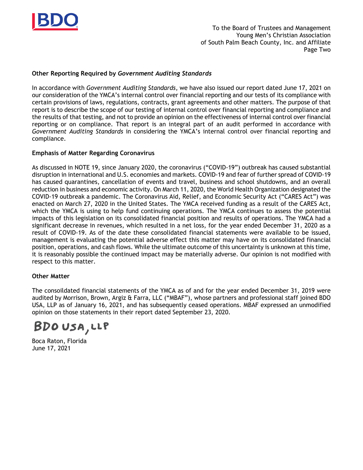

# **Other Reporting Required by** *Government Auditing Standards*

In accordance with *Government Auditing Standards*, we have also issued our report dated June 17, 2021 on our consideration of the YMCA's internal control over financial reporting and our tests of its compliance with certain provisions of laws, regulations, contracts, grant agreements and other matters. The purpose of that report is to describe the scope of our testing of internal control over financial reporting and compliance and the results of that testing, and not to provide an opinion on the effectiveness of internal control over financial reporting or on compliance. That report is an integral part of an audit performed in accordance with *Government Auditing Standards* in considering the YMCA's internal control over financial reporting and compliance.

# **Emphasis of Matter Regarding Coronavirus**

As discussed in NOTE 19, since January 2020, the coronavirus ("COVID-19") outbreak has caused substantial disruption in international and U.S. economies and markets. COVID-19 and fear of further spread of COVID-19 has caused quarantines, cancellation of events and travel, business and school shutdowns, and an overall reduction in business and economic activity. On March 11, 2020, the World Health Organization designated the COVID-19 outbreak a pandemic. The Coronavirus Aid, Relief, and Economic Security Act ("CARES Act") was enacted on March 27, 2020 in the United States. The YMCA received funding as a result of the CARES Act, which the YMCA is using to help fund continuing operations. The YMCA continues to assess the potential impacts of this legislation on its consolidated financial position and results of operations. The YMCA had a significant decrease in revenues, which resulted in a net loss, for the year ended December 31, 2020 as a result of COVID-19. As of the date these consolidated financial statements were available to be issued, management is evaluating the potential adverse effect this matter may have on its consolidated financial position, operations, and cash flows. While the ultimate outcome of this uncertainty is unknown at this time, it is reasonably possible the continued impact may be materially adverse. Our opinion is not modified with respect to this matter.

# **Other Matter**

The consoildated financial statements of the YMCA as of and for the year ended December 31, 2019 were audited by Morrison, Brown, Argiz & Farra, LLC ("MBAF"), whose partners and professional staff joined BDO USA, LLP as of January 16, 2021, and has subsequently ceased operations. MBAF expressed an unmodified opinion on those statements in their report dated September 23, 2020.

BDO USA, LLP

Boca Raton, Florida June 17, 2021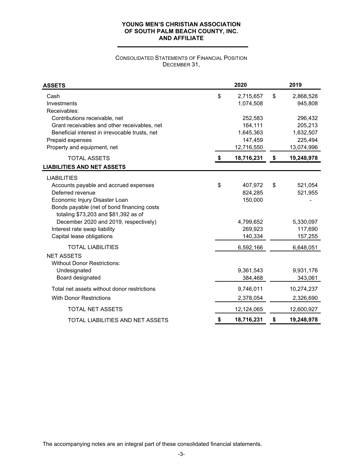# CONSOLIDATED STATEMENTS OF FINANCIAL POSITION DECEMBER 31,

| <b>ASSETS</b>                                                                 | 2020                         | 2019                       |
|-------------------------------------------------------------------------------|------------------------------|----------------------------|
| Cash<br>Investments<br>Receivables:                                           | \$<br>2,715,657<br>1,074,508 | \$<br>2,868,528<br>945,808 |
| Contributions receivable, net                                                 | 252,583                      | 296,432                    |
| Grant receivables and other receivables, net                                  | 164,111                      | 205,213                    |
| Beneficial interest in irrevocable trusts, net                                | 1,645,363                    | 1,632,507                  |
| Prepaid expenses                                                              | 147,459                      | 225,494                    |
| Property and equipment, net                                                   | 12,716,550                   | 13,074,996                 |
| <b>TOTAL ASSETS</b>                                                           | \$<br>18,716,231             | \$<br>19,248,978           |
| <b>LIABILITIES AND NET ASSETS</b>                                             |                              |                            |
| <b>LIABILITIES</b>                                                            |                              |                            |
| Accounts payable and accrued expenses                                         | \$<br>407,972                | \$<br>521,054              |
| Deferred revenue                                                              | 824,285                      | 521,955                    |
| Economic Injury Disaster Loan                                                 | 150,000                      |                            |
| Bonds payable (net of bond financing costs                                    |                              |                            |
| totaling \$73,203 and \$81,392 as of<br>December 2020 and 2019, respectively) | 4,799,652                    | 5,330,097                  |
| Interest rate swap liability                                                  | 269,923                      | 117,690                    |
| Capital lease obligations                                                     | 140,334                      | 157,255                    |
| <b>TOTAL LIABILITIES</b>                                                      | 6,592,166                    | 6,648,051                  |
| <b>NET ASSETS</b>                                                             |                              |                            |
| <b>Without Donor Restrictions:</b>                                            |                              |                            |
| Undesignated                                                                  | 9,361,543                    | 9,931,176                  |
| Board designated                                                              | 384,468                      | 343,061                    |
| Total net assets without donor restrictions                                   | 9,746,011                    | 10,274,237                 |
| <b>With Donor Restrictions</b>                                                | 2,378,054                    | 2,326,690                  |
| <b>TOTAL NET ASSETS</b>                                                       | 12,124,065                   | 12,600,927                 |
| TOTAL LIABILITIES AND NET ASSETS                                              | \$<br>18,716,231             | \$<br>19,248,978           |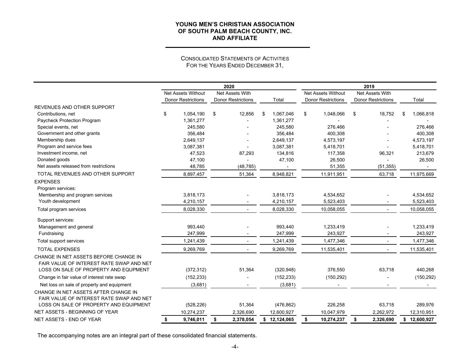CONSOLIDATED STATEMENTS OF ACTIVITIESFOR THE YEARS ENDED DECEMBER 31,

|                                                                                                                            |                           | 2020                      |                 | 2019                      |                           |                 |  |
|----------------------------------------------------------------------------------------------------------------------------|---------------------------|---------------------------|-----------------|---------------------------|---------------------------|-----------------|--|
|                                                                                                                            | Net Assets Without        | <b>Net Assets With</b>    |                 | <b>Net Assets Without</b> | <b>Net Assets With</b>    |                 |  |
|                                                                                                                            | <b>Donor Restrictions</b> | <b>Donor Restrictions</b> | Total           | <b>Donor Restrictions</b> | <b>Donor Restrictions</b> | Total           |  |
| REVENUES AND OTHER SUPPORT                                                                                                 |                           |                           |                 |                           |                           |                 |  |
| Contributions, net                                                                                                         | \$<br>1,054,190           | \$<br>12,856              | 1,067,046<br>\$ | \$<br>1,048,066           | \$<br>18,752              | 1,066,818<br>\$ |  |
| Paycheck Protection Program                                                                                                | 1,361,277                 |                           | 1.361.277       |                           |                           |                 |  |
| Special events, net                                                                                                        | 245.580                   |                           | 245.580         | 276.466                   |                           | 276,466         |  |
| Government and other grants                                                                                                | 356,484                   |                           | 356,484         | 400,308                   |                           | 400,308         |  |
| Membership dues                                                                                                            | 2,649,137                 |                           | 2,649,137       | 4,573,197                 |                           | 4,573,197       |  |
| Program and service fees                                                                                                   | 3,087,381                 |                           | 3,087,381       | 5,418,701                 |                           | 5,418,701       |  |
| Investment income, net                                                                                                     | 47,523                    | 87,293                    | 134,816         | 117,358                   | 96,321                    | 213,679         |  |
| Donated goods                                                                                                              | 47,100                    |                           | 47,100          | 26,500                    |                           | 26,500          |  |
| Net assets released from restrictions                                                                                      | 48,785                    | (48, 785)                 |                 | 51,355                    | (51, 355)                 |                 |  |
| TOTAL REVENUES AND OTHER SUPPORT                                                                                           | 8,897,457                 | 51,364                    | 8,948,821       | 11,911,951                | 63,718                    | 11,975,669      |  |
| <b>EXPENSES</b>                                                                                                            |                           |                           |                 |                           |                           |                 |  |
| Program services:                                                                                                          |                           |                           |                 |                           |                           |                 |  |
| Membership and program services                                                                                            | 3,818,173                 |                           | 3,818,173       | 4,534,652                 |                           | 4,534,652       |  |
| Youth development                                                                                                          | 4,210,157                 |                           | 4,210,157       | 5,523,403                 |                           | 5,523,403       |  |
| Total program services                                                                                                     | 8,028,330                 | ٠                         | 8,028,330       | 10,058,055                | ٠                         | 10,058,055      |  |
| Support services:                                                                                                          |                           |                           |                 |                           |                           |                 |  |
| Management and general                                                                                                     | 993,440                   |                           | 993,440         | 1,233,419                 |                           | 1,233,419       |  |
| Fundraising                                                                                                                | 247,999                   |                           | 247,999         | 243,927                   |                           | 243,927         |  |
| Total support services                                                                                                     | 1,241,439                 | $\overline{\phantom{a}}$  | 1,241,439       | 1,477,346                 | $\overline{\phantom{a}}$  | 1,477,346       |  |
| <b>TOTAL EXPENSES</b>                                                                                                      | 9,269,769                 | $\overline{a}$            | 9,269,769       | 11,535,401                | $\sim$                    | 11,535,401      |  |
| CHANGE IN NET ASSETS BEFORE CHANGE IN<br>FAIR VALUE OF INTEREST RATE SWAP AND NET                                          |                           |                           |                 |                           |                           |                 |  |
| LOSS ON SALE OF PROPERTY AND EQUPMENT                                                                                      | (372, 312)                | 51,364                    | (320, 948)      | 376,550                   | 63,718                    | 440,268         |  |
| Change in fair value of interest rate swap                                                                                 | (152, 233)                |                           | (152, 233)      | (150, 292)                |                           | (150, 292)      |  |
| Net loss on sale of property and equipment                                                                                 | (3,681)                   |                           | (3,681)         |                           |                           |                 |  |
| CHANGE IN NET ASSETS AFTER CHANGE IN<br>FAIR VALUE OF INTEREST RATE SWAP AND NET<br>LOSS ON SALE OF PROPERTY AND EQUIPMENT | (528, 226)                | 51,364                    | (476, 862)      | 226,258                   | 63,718                    | 289,976         |  |
| NET ASSETS - BEGINNING OF YEAR                                                                                             | 10,274,237                | 2,326,690                 | 12,600,927      | 10,047,979                | 2,262,972                 | 12,310,951      |  |
| NET ASSETS - END OF YEAR                                                                                                   | 9,746,011<br>\$           | \$<br>2,378,054           | \$12,124,065    | \$<br>10,274,237          | \$<br>2,326,690           | \$12,600,927    |  |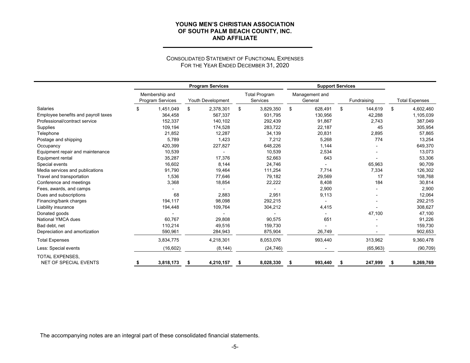#### CONSOLIDATED STATEMENT OF FUNCTIONAL EXPENSES**FOR THE YEAR ENDED DECEMBER 31, 2020**

|                                                        |    |                                           | <b>Program Services</b> |                                                               |           | <b>Support Services</b> |                       |           |    |           |
|--------------------------------------------------------|----|-------------------------------------------|-------------------------|---------------------------------------------------------------|-----------|-------------------------|-----------------------|-----------|----|-----------|
|                                                        |    | Membership and<br><b>Program Services</b> | Youth Development       | <b>Total Program</b><br>Management and<br>Services<br>General |           | Fundraising             | <b>Total Expenses</b> |           |    |           |
| <b>Salaries</b>                                        | \$ | 1,451,049                                 | \$<br>2,378,301         | \$                                                            | 3,829,350 | \$<br>628,491           | \$                    | 144,619   | \$ | 4,602,460 |
| Employee benefits and payroll taxes                    |    | 364,458                                   | 567,337                 |                                                               | 931,795   | 130,956                 |                       | 42,288    |    | 1,105,039 |
| Professional/contract service                          |    | 152,337                                   | 140,102                 |                                                               | 292,439   | 91,867                  |                       | 2,743     |    | 387,049   |
| Supplies                                               |    | 109,194                                   | 174,528                 |                                                               | 283,722   | 22,187                  |                       | 45        |    | 305,954   |
| Telephone                                              |    | 21,852                                    | 12,287                  |                                                               | 34,139    | 20,831                  |                       | 2,895     |    | 57,865    |
| Postage and shipping                                   |    | 5,789                                     | 1,423                   |                                                               | 7,212     | 5,268                   |                       | 774       |    | 13,254    |
| Occupancy                                              |    | 420,399                                   | 227,827                 |                                                               | 648,226   | 1,144                   |                       |           |    | 649,370   |
| Equipment repair and maintenance                       |    | 10,539                                    |                         |                                                               | 10,539    | 2,534                   |                       |           |    | 13,073    |
| Equipment rental                                       |    | 35,287                                    | 17,376                  |                                                               | 52,663    | 643                     |                       |           |    | 53,306    |
| Special events                                         |    | 16,602                                    | 8,144                   |                                                               | 24,746    |                         |                       | 65,963    |    | 90,709    |
| Media services and publications                        |    | 91,790                                    | 19,464                  |                                                               | 111,254   | 7,714                   |                       | 7,334     |    | 126,302   |
| Travel and transportation                              |    | 1,536                                     | 77,646                  |                                                               | 79,182    | 29,569                  |                       | 17        |    | 108,768   |
| Conference and meetings                                |    | 3,368                                     | 18,854                  |                                                               | 22,222    | 8,408                   |                       | 184       |    | 30,814    |
| Fees, awards, and camps                                |    |                                           |                         |                                                               |           | 2,900                   |                       |           |    | 2,900     |
| Dues and subscriptions                                 |    | 68                                        | 2,883                   |                                                               | 2,951     | 9,113                   |                       |           |    | 12,064    |
| Financing/bank charges                                 |    | 194,117                                   | 98,098                  |                                                               | 292,215   |                         |                       |           |    | 292,215   |
| Liability insurance                                    |    | 194,448                                   | 109,764                 |                                                               | 304,212   | 4,415                   |                       |           |    | 308,627   |
| Donated goods                                          |    |                                           |                         |                                                               |           |                         |                       | 47,100    |    | 47,100    |
| <b>National YMCA dues</b>                              |    | 60,767                                    | 29,808                  |                                                               | 90,575    | 651                     |                       |           |    | 91,226    |
| Bad debt, net                                          |    | 110,214                                   | 49,516                  |                                                               | 159,730   |                         |                       |           |    | 159,730   |
| Depreciation and amortization                          |    | 590,961                                   | 284,943                 |                                                               | 875,904   | 26,749                  |                       |           |    | 902,653   |
| <b>Total Expenses</b>                                  |    | 3,834,775                                 | 4,218,301               |                                                               | 8,053,076 | 993,440                 |                       | 313,962   |    | 9,360,478 |
| Less: Special events                                   |    | (16, 602)                                 | (8, 144)                |                                                               | (24, 746) |                         |                       | (65, 963) |    | (90, 709) |
| <b>TOTAL EXPENSES,</b><br><b>NET OF SPECIAL EVENTS</b> | S  | 3,818,173                                 | \$<br>4,210,157         | S                                                             | 8,028,330 | \$<br>993,440           | S                     | 247,999   |    | 9,269,769 |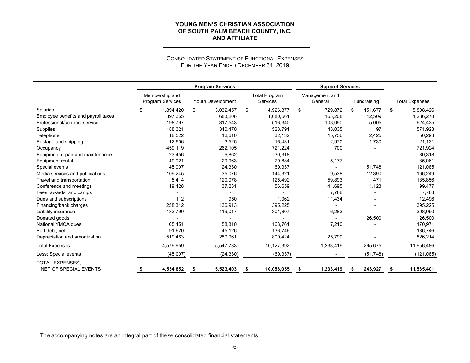# CONSOLIDATED STATEMENT OF FUNCTIONAL EXPENSESFOR THE YEAR ENDED DECEMBER 31, 2019

|                                                        | <b>Program Services</b>                   |    |                   | <b>Support Services</b>          |    |                           |    |             |                  |
|--------------------------------------------------------|-------------------------------------------|----|-------------------|----------------------------------|----|---------------------------|----|-------------|------------------|
|                                                        | Membership and<br><b>Program Services</b> |    | Youth Development | <b>Total Program</b><br>Services |    | Management and<br>General |    | Fundraising | Total Expenses   |
| Salaries                                               | \$<br>1,894,420                           | \$ | 3,032,457         | \$<br>4,926,877                  | \$ | 729,872                   | \$ | 151,677     | \$<br>5,808,426  |
| Employee benefits and payroll taxes                    | 397.355                                   |    | 683,206           | 1,080,561                        |    | 163,208                   |    | 42,509      | 1,286,278        |
| Professional/contract service                          | 198,797                                   |    | 317,543           | 516,340                          |    | 103,090                   |    | 5,005       | 624,435          |
| Supplies                                               | 188,321                                   |    | 340,470           | 528,791                          |    | 43.035                    |    | 97          | 571,923          |
| Telephone                                              | 18,522                                    |    | 13,610            | 32,132                           |    | 15,736                    |    | 2,425       | 50,293           |
| Postage and shipping                                   | 12,906                                    |    | 3,525             | 16,431                           |    | 2,970                     |    | 1,730       | 21,131           |
| Occupancy                                              | 459,119                                   |    | 262,105           | 721,224                          |    | 700                       |    |             | 721,924          |
| Equipment repair and maintenance                       | 23,456                                    |    | 6,862             | 30,318                           |    |                           |    |             | 30,318           |
| Equipment rental                                       | 49,921                                    |    | 29,963            | 79,884                           |    | 5,177                     |    |             | 85,061           |
| Special events                                         | 45.007                                    |    | 24,330            | 69,337                           |    |                           |    | 51.748      | 121,085          |
| Media services and publications                        | 109,245                                   |    | 35,076            | 144.321                          |    | 9,538                     |    | 12,390      | 166,249          |
| Travel and transportation                              | 5,414                                     |    | 120,078           | 125,492                          |    | 59,893                    |    | 471         | 185,856          |
| Conference and meetings                                | 19,428                                    |    | 37,231            | 56,659                           |    | 41,695                    |    | 1,123       | 99,477           |
| Fees, awards, and camps                                |                                           |    |                   |                                  |    | 7.788                     |    |             | 7,788            |
| Dues and subscriptions                                 | 112                                       |    | 950               | 1,062                            |    | 11,434                    |    |             | 12,496           |
| Financing/bank charges                                 | 258,312                                   |    | 136,913           | 395,225                          |    |                           |    |             | 395,225          |
| Liability insurance                                    | 182,790                                   |    | 119,017           | 301,807                          |    | 6,283                     |    |             | 308,090          |
| Donated goods                                          |                                           |    |                   |                                  |    |                           |    | 26,500      | 26,500           |
| National YMCA dues                                     | 105.451                                   |    | 58,310            | 163,761                          |    | 7,210                     |    |             | 170,971          |
| Bad debt, net                                          | 91,620                                    |    | 45,126            | 136,746                          |    |                           |    |             | 136,746          |
| Depreciation and amortization                          | 519,463                                   |    | 280,961           | 800,424                          |    | 25,790                    |    |             | 826,214          |
| <b>Total Expenses</b>                                  | 4,579,659                                 |    | 5,547,733         | 10,127,392                       |    | 1,233,419                 |    | 295,675     | 11,656,486       |
| Less: Special events                                   | (45,007)                                  |    | (24, 330)         | (69, 337)                        |    |                           |    | (51, 748)   | (121, 085)       |
| <b>TOTAL EXPENSES,</b><br><b>NET OF SPECIAL EVENTS</b> | \$<br>4,534,652                           | \$ | 5,523,403         | \$<br>10,058,055                 | \$ | 1,233,419                 | S  | 243,927     | \$<br>11,535,401 |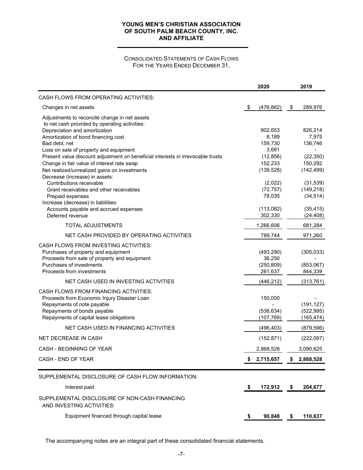# CONSOLIDATED STATEMENTS OF CASH FLOWS FOR THE YEARS ENDED DECEMBER 31,

|                                                                                                |     | 2020                 |     | 2019                   |
|------------------------------------------------------------------------------------------------|-----|----------------------|-----|------------------------|
| CASH FLOWS FROM OPERATING ACTIVITIES:                                                          |     |                      |     |                        |
| Changes in net assets                                                                          | -\$ | (476, 862)           | \$  | 289,976                |
| Adjustments to reconcile change in net assets<br>to net cash provided by operating activities: |     |                      |     |                        |
| Depreciation and amortization                                                                  |     | 902,653              |     | 826,214                |
| Amortization of bond financing cost                                                            |     | 8,189                |     | 7,975                  |
| Bad debt, net                                                                                  |     | 159,730              |     | 136,746                |
| Loss on sale of property and equipment                                                         |     | 3,681                |     |                        |
| Present value discount adjustment on beneficial interests in irrevocable trusts                |     | (12, 856)            |     | (22, 350)              |
| Change in fair value of interest rate swap                                                     |     | 152,233              |     | 150,292                |
| Net realized/unrealized gains on investments<br>Decrease (increase) in assets:                 |     | (139, 528)           |     | (142, 499)             |
| Contributions receivable                                                                       |     | (2,022)              |     | (31, 539)              |
| Grant receivables and other receivables                                                        |     | (72, 757)            |     | (149, 218)             |
| Prepaid expenses                                                                               |     | 78,035               |     | (34, 514)              |
| Increase (decrease) in liabilities:                                                            |     |                      |     |                        |
| Accounts payable and accrued expenses<br>Deferred revenue                                      |     | (113,082)<br>302,330 |     | (35, 415)<br>(24, 408) |
|                                                                                                |     |                      |     |                        |
| <b>TOTAL ADJUSTMENTS</b>                                                                       |     | 1,266,606            |     | 681,284                |
| NET CASH PROVIDED BY OPERATING ACTIVITIES                                                      |     | 789,744              |     | 971,260                |
| CASH FLOWS FROM INVESTING ACTIVITIES:                                                          |     |                      |     |                        |
| Purchases of property and equipment                                                            |     | (493, 290)           |     | (305,033)              |
| Proceeds from sale of property and equipment                                                   |     | 36,250               |     |                        |
| Purchases of investments                                                                       |     | (250, 809)           |     | (853,067)              |
| Proceeds from investments                                                                      |     | 261,637              |     | 844,339                |
| NET CASH USED IN INVESTING ACTIVITIES                                                          |     | (446, 212)           |     | (313, 761)             |
| CASH FLOWS FROM FINANCING ACTIVITIES:                                                          |     |                      |     |                        |
| Proceeds from Economic Injury Disaster Loan                                                    |     | 150,000              |     |                        |
| Repayments of note payable                                                                     |     |                      |     | (191, 127)             |
| Repayments of bonds payable<br>Repayments of capital lease obligations                         |     | (538, 634)           |     | (522, 995)             |
|                                                                                                |     | (107, 769)           |     | (165, 474)             |
| NET CASH USED IN FINANCING ACTIVITIES                                                          |     | (496, 403)           |     | (879, 596)             |
| <b>NET DECREASE IN CASH</b>                                                                    |     | (152, 871)           |     | (222,097)              |
| CASH - BEGINNING OF YEAR                                                                       |     | 2,868,528            |     | 3,090,625              |
| CASH - END OF YEAR                                                                             | \$  | 2,715,657            |     | \$2,868,528            |
| SUPPLEMENTAL DISCLOSURE OF CASH FLOW INFORMATION:                                              |     |                      |     |                        |
| Interest paid                                                                                  | \$  | 172,912              | -\$ | 204,677                |
| SUPPLEMENTAL DISCLOSURE OF NON-CASH FINANCING<br>AND INVESTING ACTIVITIES:                     |     |                      |     |                        |
| Equipment financed through capital lease                                                       | \$  | 90,848               | \$  | 110,637                |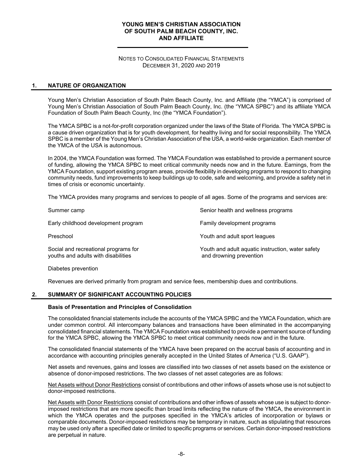#### NOTES TO CONSOLIDATED FINANCIAL STATEMENTS DECEMBER 31, 2020 AND 2019

# **1. NATURE OF ORGANIZATION**

Young Men's Christian Association of South Palm Beach County, Inc. and Affiliate (the "YMCA") is comprised of Young Men's Christian Association of South Palm Beach County, Inc. (the "YMCA SPBC") and its affiliate YMCA Foundation of South Palm Beach County, Inc (the "YMCA Foundation").

The YMCA SPBC is a not-for-profit corporation organized under the laws of the State of Florida. The YMCA SPBC is a cause driven organization that is for youth development, for healthy living and for social responsibility. The YMCA SPBC is a member of the Young Men's Christian Association of the USA, a world-wide organization. Each member of the YMCA of the USA is autonomous.

In 2004, the YMCA Foundation was formed. The YMCA Foundation was established to provide a permanent source of funding, allowing the YMCA SPBC to meet critical community needs now and in the future. Earnings, from the YMCA Foundation, support existing program areas, provide flexibility in developing programs to respond to changing community needs, fund improvements to keep buildings up to code, safe and welcoming, and provide a safety net in times of crisis or economic uncertainty.

The YMCA provides many programs and services to people of all ages. Some of the programs and services are:

| Summer camp                                                                 | Senior health and wellness programs                                          |
|-----------------------------------------------------------------------------|------------------------------------------------------------------------------|
| Early childhood development program                                         | Family development programs                                                  |
| Preschool                                                                   | Youth and adult sport leagues                                                |
| Social and recreational programs for<br>youths and adults with disabilities | Youth and adult aquatic instruction, water safety<br>and drowning prevention |

Diabetes prevention

Revenues are derived primarily from program and service fees, membership dues and contributions.

#### **2. SUMMARY OF SIGNIFICANT ACCOUNTING POLICIES**

#### **Basis of Presentation and Principles of Consolidation**

The consolidated financial statements include the accounts of the YMCA SPBC and the YMCA Foundation, which are under common control. All intercompany balances and transactions have been eliminated in the accompanying consolidated financial statements. The YMCA Foundation was established to provide a permanent source of funding for the YMCA SPBC, allowing the YMCA SPBC to meet critical community needs now and in the future.

The consolidated financial statements of the YMCA have been prepared on the accrual basis of accounting and in accordance with accounting principles generally accepted in the United States of America ("U.S. GAAP").

Net assets and revenues, gains and losses are classified into two classes of net assets based on the existence or absence of donor-imposed restrictions. The two classes of net asset categories are as follows:

Net Assets without Donor Restrictions consist of contributions and other inflows of assets whose use is not subject to donor-imposed restrictions.

Net Assets with Donor Restrictions consist of contributions and other inflows of assets whose use is subject to donorimposed restrictions that are more specific than broad limits reflecting the nature of the YMCA, the environment in which the YMCA operates and the purposes specified in the YMCA's articles of incorporation or bylaws or comparable documents. Donor-imposed restrictions may be temporary in nature, such as stipulating that resources may be used only after a specified date or limited to specific programs or services. Certain donor-imposed restrictions are perpetual in nature.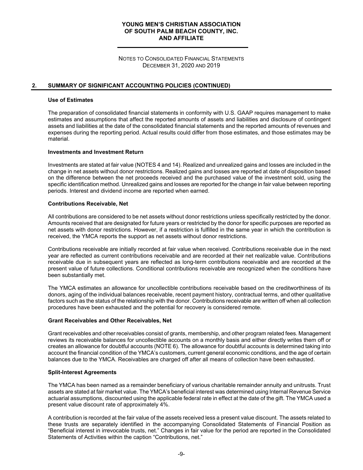# NOTES TO CONSOLIDATED FINANCIAL STATEMENTS DECEMBER 31, 2020 AND 2019

# **2. SUMMARY OF SIGNIFICANT ACCOUNTING POLICIES (CONTINUED)**

#### **Use of Estimates**

The preparation of consolidated financial statements in conformity with U.S. GAAP requires management to make estimates and assumptions that affect the reported amounts of assets and liabilities and disclosure of contingent assets and liabilities at the date of the consolidated financial statements and the reported amounts of revenues and expenses during the reporting period. Actual results could differ from those estimates, and those estimates may be material.

#### **Investments and Investment Return**

Investments are stated at fair value (NOTES 4 and 14). Realized and unrealized gains and losses are included in the change in net assets without donor restrictions. Realized gains and losses are reported at date of disposition based on the difference between the net proceeds received and the purchased value of the investment sold, using the specific identification method. Unrealized gains and losses are reported for the change in fair value between reporting periods. Interest and dividend income are reported when earned.

#### **Contributions Receivable, Net**

All contributions are considered to be net assets without donor restrictions unless specifically restricted by the donor. Amounts received that are designated for future years or restricted by the donor for specific purposes are reported as net assets with donor restrictions. However, if a restriction is fulfilled in the same year in which the contribution is received, the YMCA reports the support as net assets without donor restrictions.

Contributions receivable are initially recorded at fair value when received. Contributions receivable due in the next year are reflected as current contributions receivable and are recorded at their net realizable value. Contributions receivable due in subsequent years are reflected as long-term contributions receivable and are recorded at the present value of future collections. Conditional contributions receivable are recognized when the conditions have been substantially met.

The YMCA estimates an allowance for uncollectible contributions receivable based on the creditworthiness of its donors, aging of the individual balances receivable, recent payment history, contractual terms, and other qualitative factors such as the status of the relationship with the donor. Contributions receivable are written off when all collection procedures have been exhausted and the potential for recovery is considered remote.

#### **Grant Receivables and Other Receivables, Net**

Grant receivables and other receivables consist of grants, membership, and other program related fees. Management reviews its receivable balances for uncollectible accounts on a monthly basis and either directly writes them off or creates an allowance for doubtful accounts (NOTE 6). The allowance for doubtful accounts is determined taking into account the financial condition of the YMCA's customers, current general economic conditions, and the age of certain balances due to the YMCA. Receivables are charged off after all means of collection have been exhausted.

#### **Split-Interest Agreements**

The YMCA has been named as a remainder beneficiary of various charitable remainder annuity and unitrusts. Trust assets are stated at fair market value. The YMCA's beneficial interest was determined using Internal Revenue Service actuarial assumptions, discounted using the applicable federal rate in effect at the date of the gift. The YMCA used a present value discount rate of approximately 4%.

A contribution is recorded at the fair value of the assets received less a present value discount. The assets related to these trusts are separately identified in the accompanying Consolidated Statements of Financial Position as "Beneficial interest in irrevocable trusts, net." Changes in fair value for the period are reported in the Consolidated Statements of Activities within the caption "Contributions, net."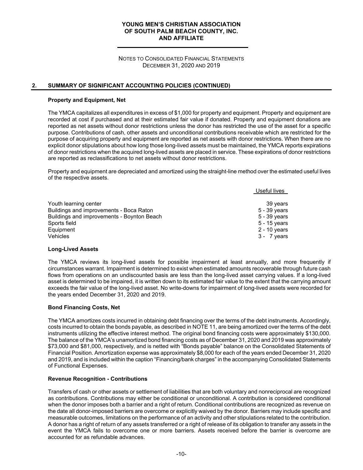# NOTES TO CONSOLIDATED FINANCIAL STATEMENTS DECEMBER 31, 2020 AND 2019

# **2. SUMMARY OF SIGNIFICANT ACCOUNTING POLICIES (CONTINUED)**

# **Property and Equipment, Net**

The YMCA capitalizes all expenditures in excess of \$1,000 for property and equipment. Property and equipment are recorded at cost if purchased and at their estimated fair value if donated. Property and equipment donations are reported as net assets without donor restrictions unless the donor has restricted the use of the asset for a specific purpose. Contributions of cash, other assets and unconditional contributions receivable which are restricted for the purpose of acquiring property and equipment are reported as net assets with donor restrictions. When there are no explicit donor stipulations about how long those long-lived assets must be maintained, the YMCA reports expirations of donor restrictions when the acquired long-lived assets are placed in service. These expirations of donor restrictions are reported as reclassifications to net assets without donor restrictions.

Property and equipment are depreciated and amortized using the straight-line method over the estimated useful lives of the respective assets.

|                                            | Useful lives   |
|--------------------------------------------|----------------|
| Youth learning center                      | 39 years       |
| Buildings and improvements - Boca Raton    | 5 - 39 years   |
| Buildings and improvements - Boynton Beach | $5 - 39$ years |
| Sports field                               | $5 - 15$ years |
| Equipment                                  | $2 - 10$ years |
| <b>Vehicles</b>                            | $3 - 7$ years  |

# **Long-Lived Assets**

The YMCA reviews its long-lived assets for possible impairment at least annually, and more frequently if circumstances warrant. Impairment is determined to exist when estimated amounts recoverable through future cash flows from operations on an undiscounted basis are less than the long-lived asset carrying values. If a long-lived asset is determined to be impaired, it is written down to its estimated fair value to the extent that the carrying amount exceeds the fair value of the long-lived asset. No write-downs for impairment of long-lived assets were recorded for the years ended December 31, 2020 and 2019.

# **Bond Financing Costs, Net**

The YMCA amortizes costs incurred in obtaining debt financing over the terms of the debt instruments. Accordingly, costs incurred to obtain the bonds payable, as described in NOTE 11, are being amortized over the terms of the debt instruments utilizing the effective interest method. The original bond financing costs were approximately \$130,000. The balance of the YMCA's unamortized bond financing costs as of December 31, 2020 and 2019 was approximately \$73,000 and \$81,000, respectively, and is netted with "Bonds payable" balance on the Consolidated Statements of Financial Position. Amortization expense was approximately \$8,000 for each of the years ended December 31, 2020 and 2019, and is included within the caption "Financing/bank charges" in the accompanying Consolidated Statements of Functional Expenses.

# **Revenue Recognition - Contributions**

Transfers of cash or other assets or settlement of liabilities that are both voluntary and nonreciprocal are recognized as contributions. Contributions may either be conditional or unconditional. A contribution is considered conditional when the donor imposes both a barrier and a right of return. Conditional contributions are recognized as revenue on the date all donor-imposed barriers are overcome or explicitly waived by the donor. Barriers may include specific and measurable outcomes, limitations on the performance of an activity and other stipulations related to the contribution. A donor has a right of return of any assets transferred or a right of release of its obligation to transfer any assets in the event the YMCA fails to overcome one or more barriers. Assets received before the barrier is overcome are accounted for as refundable advances.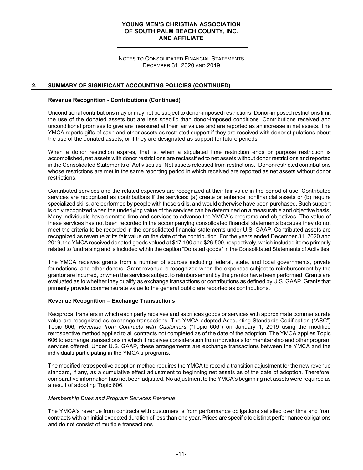# NOTES TO CONSOLIDATED FINANCIAL STATEMENTS DECEMBER 31, 2020 AND 2019

# **2. SUMMARY OF SIGNIFICANT ACCOUNTING POLICIES (CONTINUED)**

# **Revenue Recognition - Contributions (Continued)**

Unconditional contributions may or may not be subject to donor-imposed restrictions. Donor-imposed restrictions limit the use of the donated assets but are less specific than donor-imposed conditions. Contributions received and unconditional promises to give are measured at their fair values and are reported as an increase in net assets. The YMCA reports gifts of cash and other assets as restricted support if they are received with donor stipulations about the use of the donated assets, or if they are designated as support for future periods.

When a donor restriction expires, that is, when a stipulated time restriction ends or purpose restriction is accomplished, net assets with donor restrictions are reclassified to net assets without donor restrictions and reported in the Consolidated Statements of Activities as "Net assets released from restrictions." Donor-restricted contributions whose restrictions are met in the same reporting period in which received are reported as net assets without donor restrictions.

Contributed services and the related expenses are recognized at their fair value in the period of use. Contributed services are recognized as contributions if the services: (a) create or enhance nonfinancial assets or (b) require specialized skills, are performed by people with those skills, and would otherwise have been purchased. Such support is only recognized when the underlying value of the services can be determined on a measurable and objective basis. Many individuals have donated time and services to advance the YMCA's programs and objectives. The value of these services has not been recorded in the accompanying consolidated financial statements because they do not meet the criteria to be recorded in the consolidated financial statements under U.S. GAAP. Contributed assets are recognized as revenue at its fair value on the date of the contribution. For the years ended December 31, 2020 and 2019, the YMCA received donated goods valued at \$47,100 and \$26,500, respectively, which included items primarily related to fundraising and is included within the caption "Donated goods" in the Consolidated Statements of Activities.

The YMCA receives grants from a number of sources including federal, state, and local governments, private foundations, and other donors. Grant revenue is recognized when the expenses subject to reimbursement by the grantor are incurred, or when the services subject to reimbursement by the grantor have been performed. Grants are evaluated as to whether they qualify as exchange transactions or contributions as defined by U.S. GAAP. Grants that primarily provide commensurate value to the general public are reported as contributions.

#### **Revenue Recognition – Exchange Transactions**

Reciprocal transfers in which each party receives and sacrifices goods or services with approximate commensurate value are recognized as exchange transactions. The YMCA adopted Accounting Standards Codification ("ASC") Topic 606, *Revenue from Contracts with Customers* ("Topic 606") on January 1, 2019 using the modified retrospective method applied to all contracts not completed as of the date of the adoption. The YMCA applies Topic 606 to exchange transactions in which it receives consideration from individuals for membership and other program services offered. Under U.S. GAAP, these arrangements are exchange transactions between the YMCA and the individuals participating in the YMCA's programs.

The modified retrospective adoption method requires the YMCA to record a transition adjustment for the new revenue standard, if any, as a cumulative effect adjustment to beginning net assets as of the date of adoption. Therefore, comparative information has not been adjusted. No adjustment to the YMCA's beginning net assets were required as a result of adopting Topic 606.

# *Membership Dues and Program Services Revenue*

The YMCA's revenue from contracts with customers is from performance obligations satisfied over time and from contracts with an initial expected duration of less than one year. Prices are specific to distinct performance obligations and do not consist of multiple transactions.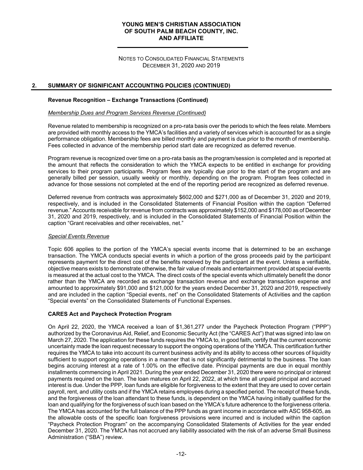NOTES TO CONSOLIDATED FINANCIAL STATEMENTS DECEMBER 31, 2020 AND 2019

# **2. SUMMARY OF SIGNIFICANT ACCOUNTING POLICIES (CONTINUED)**

#### **Revenue Recognition – Exchange Transactions (Continued)**

#### *Membership Dues and Program Services Revenue (Continued)*

Revenue related to membership is recognized on a pro-rata basis over the periods to which the fees relate. Members are provided with monthly access to the YMCA's facilities and a variety of services which is accounted for as a single performance obligation. Membership fees are billed monthly and payment is due prior to the month of membership. Fees collected in advance of the membership period start date are recognized as deferred revenue.

Program revenue is recognized over time on a pro-rata basis as the program/session is completed and is reported at the amount that reflects the consideration to which the YMCA expects to be entitled in exchange for providing services to their program participants. Program fees are typically due prior to the start of the program and are generally billed per session, usually weekly or monthly, depending on the program. Program fees collected in advance for those sessions not completed at the end of the reporting period are recognized as deferred revenue.

Deferred revenue from contracts was approximately \$602,000 and \$271,000 as of December 31, 2020 and 2019, respectively, and is included in the Consolidated Statements of Financial Position within the caption "Deferred revenue." Accounts receivable for revenue from contracts was approximately \$152,000 and \$178,000 as of December 31, 2020 and 2019, respectively, and is included in the Consolidated Statements of Financial Position within the caption "Grant receivables and other receivables, net."

#### *Special Events Revenue*

Topic 606 applies to the portion of the YMCA's special events income that is determined to be an exchange transaction. The YMCA conducts special events in which a portion of the gross proceeds paid by the participant represents payment for the direct cost of the benefits received by the participant at the event. Unless a verifiable, objective means exists to demonstrate otherwise, the fair value of meals and entertainment provided at special events is measured at the actual cost to the YMCA. The direct costs of the special events which ultimately benefit the donor rather than the YMCA are recorded as exchange transaction revenue and exchange transaction expense and amounted to approximately \$91,000 and \$121,000 for the years ended December 31, 2020 and 2019, respectively and are included in the caption "Special events, net" on the Consolidated Statements of Activities and the caption "Special events" on the Consolidated Statements of Functional Expenses.

# **CARES Act and Paycheck Protection Program**

On April 22, 2020, the YMCA received a loan of \$1,361,277 under the Paycheck Protection Program ("PPP") authorized by the Coronavirus Aid, Relief, and Economic Security Act (the "CARES Act") that was signed into law on March 27, 2020. The application for these funds requires the YMCA to, in good faith, certify that the current economic uncertainty made the loan request necessary to support the ongoing operations of the YMCA. This certification further requires the YMCA to take into account its current business activity and its ability to access other sources of liquidity sufficient to support ongoing operations in a manner that is not significantly detrimental to the business. The loan begins accruing interest at a rate of 1.00% on the effective date. Principal payments are due in equal monthly installments commencing in April 2021. During the year ended December 31, 2020 there were no principal or interest payments required on the loan. The loan matures on April 22, 2022, at which time all unpaid principal and accrued interest is due. Under the PPP, loan funds are eligible for forgiveness to the extent that they are used to cover certain payroll, rent, and utility costs and if the YMCA retains employees during a specified period. The receipt of these funds, and the forgiveness of the loan attendant to these funds, is dependent on the YMCA having initially qualified for the loan and qualifying for the forgiveness of such loan based on the YMCA's future adherence to the forgiveness criteria. The YMCA has accounted for the full balance of the PPP funds as grant income in accordance with ASC 958-605, as the allowable costs of the specific loan forgiveness provisions were incurred and is included within the caption "Paycheck Protection Program" on the accompanying Consolidated Statements of Activities for the year ended December 31, 2020. The YMCA has not accrued any liability associated with the risk of an adverse Small Business Administration ("SBA") review.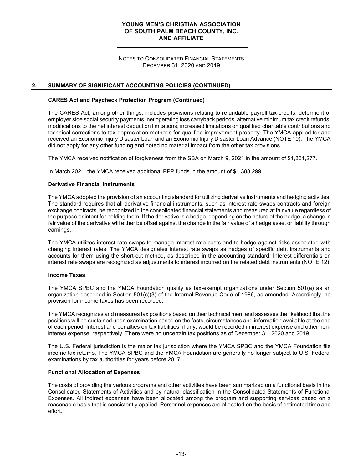# NOTES TO CONSOLIDATED FINANCIAL STATEMENTS DECEMBER 31, 2020 AND 2019

# **2. SUMMARY OF SIGNIFICANT ACCOUNTING POLICIES (CONTINUED)**

# **CARES Act and Paycheck Protection Program (Continued)**

The CARES Act, among other things, includes provisions relating to refundable payroll tax credits, deferment of employer side social security payments, net operating loss carryback periods, alternative minimum tax credit refunds, modifications to the net interest deduction limitations, increased limitations on qualified charitable contributions and technical corrections to tax depreciation methods for qualified improvement property. The YMCA applied for and received an Economic Injury Disaster Loan and an Economic Injury Disaster Loan Advance (NOTE 10). The YMCA did not apply for any other funding and noted no material impact from the other tax provisions.

The YMCA received notification of forgiveness from the SBA on March 9, 2021 in the amount of \$1,361,277.

In March 2021, the YMCA received additional PPP funds in the amount of \$1,388,299.

#### **Derivative Financial Instruments**

The YMCA adopted the provision of an accounting standard for utilizing derivative instruments and hedging activities. The standard requires that all derivative financial instruments, such as interest rate swaps contracts and foreign exchange contracts, be recognized in the consolidated financial statements and measured at fair value regardless of the purpose or intent for holding them. If the derivative is a hedge, depending on the nature of the hedge, a change in fair value of the derivative will either be offset against the change in the fair value of a hedge asset or liability through earnings.

The YMCA utilizes interest rate swaps to manage interest rate costs and to hedge against risks associated with changing interest rates. The YMCA designates interest rate swaps as hedges of specific debt instruments and accounts for them using the short-cut method, as described in the accounting standard. Interest differentials on interest rate swaps are recognized as adjustments to interest incurred on the related debt instruments (NOTE 12).

#### **Income Taxes**

The YMCA SPBC and the YMCA Foundation qualify as tax-exempt organizations under Section 501(a) as an organization described in Section 501(c)(3) of the Internal Revenue Code of 1986, as amended. Accordingly, no provision for income taxes has been recorded.

The YMCA recognizes and measures tax positions based on their technical merit and assesses the likelihood that the positions will be sustained upon examination based on the facts, circumstances and information available at the end of each period. Interest and penalties on tax liabilities, if any, would be recorded in interest expense and other noninterest expense, respectively. There were no uncertain tax positions as of December 31, 2020 and 2019.

The U.S. Federal jurisdiction is the major tax jurisdiction where the YMCA SPBC and the YMCA Foundation file income tax returns. The YMCA SPBC and the YMCA Foundation are generally no longer subject to U.S. Federal examinations by tax authorities for years before 2017.

#### **Functional Allocation of Expenses**

The costs of providing the various programs and other activities have been summarized on a functional basis in the Consolidated Statements of Activities and by natural classification in the Consolidated Statements of Functional Expenses. All indirect expenses have been allocated among the program and supporting services based on a reasonable basis that is consistently applied. Personnel expenses are allocated on the basis of estimated time and effort.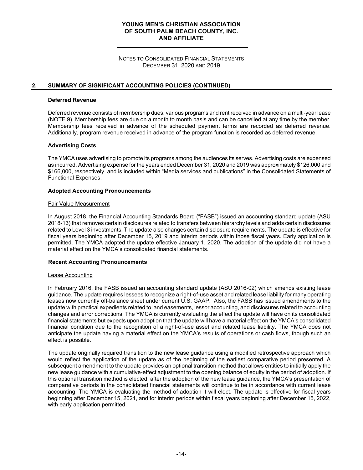# NOTES TO CONSOLIDATED FINANCIAL STATEMENTS DECEMBER 31, 2020 AND 2019

# **2. SUMMARY OF SIGNIFICANT ACCOUNTING POLICIES (CONTINUED)**

#### **Deferred Revenue**

Deferred revenue consists of membership dues, various programs and rent received in advance on a multi-year lease (NOTE 9). Membership fees are due on a month to month basis and can be cancelled at any time by the member. Membership fees received in advance of the scheduled payment terms are recorded as deferred revenue. Additionally, program revenue received in advance of the program function is recorded as deferred revenue.

# **Advertising Costs**

The YMCA uses advertising to promote its programs among the audiences its serves. Advertising costs are expensed as incurred. Advertising expense for the years ended December 31, 2020 and 2019 was approximately \$126,000 and \$166,000, respectively, and is included within "Media services and publications" in the Consolidated Statements of Functional Expenses.

#### **Adopted Accounting Pronouncements**

#### Fair Value Measurement

In August 2018, the Financial Accounting Standards Board ("FASB") issued an accounting standard update (ASU 2018-13) that removes certain disclosures related to transfers between hierarchy levels and adds certain disclosures related to Level 3 investments. The update also changes certain disclosure requirements. The update is effective for fiscal years beginning after December 15, 2019 and interim periods within those fiscal years. Early application is permitted. The YMCA adopted the update effective January 1, 2020. The adoption of the update did not have a material effect on the YMCA's consolidated financial statements.

# **Recent Accounting Pronouncements**

#### Lease Accounting

In February 2016, the FASB issued an accounting standard update (ASU 2016-02) which amends existing lease guidance. The update requires lessees to recognize a right-of-use asset and related lease liability for many operating leases now currently off-balance sheet under current U.S. GAAP. Also, the FASB has issued amendments to the update with practical expedients related to land easements, lessor accounting, and disclosures related to accounting changes and error corrections. The YMCA is currently evaluating the effect the update will have on its consolidated financial statements but expects upon adoption that the update will have a material effect on the YMCA's consolidated financial condition due to the recognition of a right-of-use asset and related lease liability. The YMCA does not anticipate the update having a material effect on the YMCA's results of operations or cash flows, though such an effect is possible.

The update originally required transition to the new lease guidance using a modified retrospective approach which would reflect the application of the update as of the beginning of the earliest comparative period presented. A subsequent amendment to the update provides an optional transition method that allows entities to initially apply the new lease guidance with a cumulative-effect adjustment to the opening balance of equity in the period of adoption. If this optional transition method is elected, after the adoption of the new lease guidance, the YMCA's presentation of comparative periods in the consolidated financial statements will continue to be in accordance with current lease accounting. The YMCA is evaluating the method of adoption it will elect. The update is effective for fiscal years beginning after December 15, 2021, and for interim periods within fiscal years beginning after December 15, 2022, with early application permitted.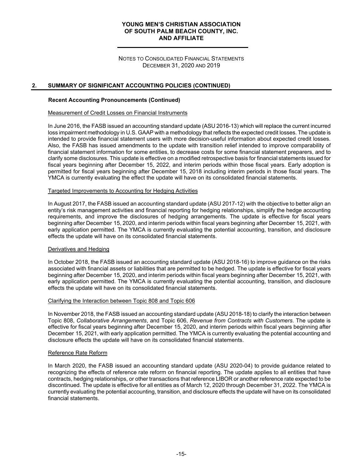NOTES TO CONSOLIDATED FINANCIAL STATEMENTS DECEMBER 31, 2020 AND 2019

# **2. SUMMARY OF SIGNIFICANT ACCOUNTING POLICIES (CONTINUED)**

#### **Recent Accounting Pronouncements (Continued)**

#### Measurement of Credit Losses on Financial Instruments

In June 2016, the FASB issued an accounting standard update (ASU 2016-13) which will replace the current incurred loss impairment methodology in U.S. GAAP with a methodology that reflects the expected credit losses. The update is intended to provide financial statement users with more decision-useful information about expected credit losses. Also, the FASB has issued amendments to the update with transition relief intended to improve comparability of financial statement information for some entities, to decrease costs for some financial statement preparers, and to clarify some disclosures. This update is effective on a modified retrospective basis for financial statements issued for fiscal years beginning after December 15, 2022, and interim periods within those fiscal years. Early adoption is permitted for fiscal years beginning after December 15, 2018 including interim periods in those fiscal years. The YMCA is currently evaluating the effect the update will have on its consolidated financial statements.

#### Targeted Improvements to Accounting for Hedging Activities

In August 2017, the FASB issued an accounting standard update (ASU 2017-12) with the objective to better align an entity's risk management activities and financial reporting for hedging relationships, simplify the hedge accounting requirements, and improve the disclosures of hedging arrangements. The update is effective for fiscal years beginning after December 15, 2020, and interim periods within fiscal years beginning after December 15, 2021, with early application permitted. The YMCA is currently evaluating the potential accounting, transition, and disclosure effects the update will have on its consolidated financial statements.

#### Derivatives and Hedging

In October 2018, the FASB issued an accounting standard update (ASU 2018-16) to improve guidance on the risks associated with financial assets or liabilities that are permitted to be hedged. The update is effective for fiscal years beginning after December 15, 2020, and interim periods within fiscal years beginning after December 15, 2021, with early application permitted. The YMCA is currently evaluating the potential accounting, transition, and disclosure effects the update will have on its consolidated financial statements.

#### Clarifying the Interaction between Topic 808 and Topic 606

In November 2018, the FASB issued an accounting standard update (ASU 2018-18) to clarify the interaction between Topic 808, *Collaborative Arrangements*, and Topic 606, *Revenue from Contracts with Customers*. The update is effective for fiscal years beginning after December 15, 2020, and interim periods within fiscal years beginning after December 15, 2021, with early application permitted. The YMCA is currently evaluating the potential accounting and disclosure effects the update will have on its consolidated financial statements.

#### Reference Rate Reform

In March 2020, the FASB issued an accounting standard update (ASU 2020-04) to provide guidance related to recognizing the effects of reference rate reform on financial reporting. The update applies to all entities that have contracts, hedging relationships, or other transactions that reference LIBOR or another reference rate expected to be discontinued. The update is effective for all entities as of March 12, 2020 through December 31, 2022. The YMCA is currently evaluating the potential accounting, transition, and disclosure effects the update will have on its consolidated financial statements.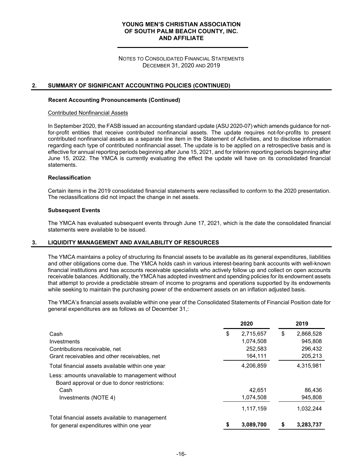#### NOTES TO CONSOLIDATED FINANCIAL STATEMENTS DECEMBER 31, 2020 AND 2019

#### **2. SUMMARY OF SIGNIFICANT ACCOUNTING POLICIES (CONTINUED)**

#### **Recent Accounting Pronouncements (Continued)**

#### Contributed Nonfinancial Assets

In September 2020, the FASB issued an accounting standard update (ASU 2020-07) which amends guidance for notfor-profit entities that receive contributed nonfinancial assets. The update requires not-for-profits to present contributed nonfinancial assets as a separate line item in the Statement of Activities, and to disclose information regarding each type of contributed nonfinancial asset. The update is to be applied on a retrospective basis and is effective for annual reporting periods beginning after June 15, 2021, and for interim reporting periods beginning after June 15, 2022. The YMCA is currently evaluating the effect the update will have on its consolidated financial statements.

#### **Reclassification**

Certain items in the 2019 consolidated financial statements were reclassified to conform to the 2020 presentation. The reclassifications did not impact the change in net assets.

#### **Subsequent Events**

The YMCA has evaluated subsequent events through June 17, 2021, which is the date the consolidated financial statements were available to be issued.

# **3. LIQUIDITY MANAGEMENT AND AVAILABILITY OF RESOURCES**

The YMCA maintains a policy of structuring its financial assets to be available as its general expenditures, liabilities and other obligations come due. The YMCA holds cash in various interest-bearing bank accounts with well-known financial institutions and has accounts receivable specialists who actively follow up and collect on open accounts receivable balances. Additionally, the YMCA has adopted investment and spending policies for its endowment assets that attempt to provide a predictable stream of income to programs and operations supported by its endowments while seeking to maintain the purchasing power of the endowment assets on an inflation adjusted basis.

The YMCA's financial assets available within one year of the Consolidated Statements of Financial Position date for general expenditures are as follows as of December 31,:

|                                                                                                 | 2020            |    | 2019      |
|-------------------------------------------------------------------------------------------------|-----------------|----|-----------|
| Cash                                                                                            | \$<br>2,715,657 | \$ | 2,868,528 |
| Investments                                                                                     | 1,074,508       |    | 945,808   |
| Contributions receivable, net                                                                   | 252,583         |    | 296,432   |
| Grant receivables and other receivables, net                                                    | 164,111         |    | 205,213   |
| Total financial assets available within one year                                                | 4,206,859       |    | 4,315,981 |
| Less: amounts unavailable to management without<br>Board approval or due to donor restrictions: |                 |    |           |
| Cash                                                                                            | 42.651          |    | 86,436    |
| Investments (NOTE 4)                                                                            | 1.074.508       |    | 945,808   |
|                                                                                                 | 1,117,159       |    | 1,032,244 |
| Total financial assets available to management                                                  |                 |    |           |
| for general expenditures within one year                                                        | \$<br>3.089.700 | S  | 3,283,737 |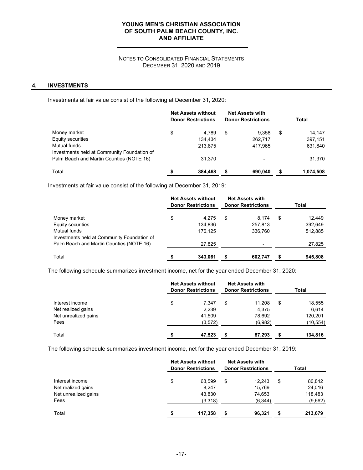# NOTES TO CONSOLIDATED FINANCIAL STATEMENTS DECEMBER 31, 2020 AND 2019

# **4. INVESTMENTS**

Investments at fair value consist of the following at December 31, 2020:

|                                                             | <b>Net Assets without</b><br><b>Donor Restrictions</b> | <b>Net Assets with</b><br><b>Donor Restrictions</b> |    | Total     |
|-------------------------------------------------------------|--------------------------------------------------------|-----------------------------------------------------|----|-----------|
| Money market                                                | \$<br>4.789                                            | \$<br>9.358                                         | \$ | 14,147    |
| Equity securities                                           | 134.434                                                | 262,717                                             |    | 397,151   |
| Mutual funds<br>Investments held at Community Foundation of | 213,875                                                | 417,965                                             |    | 631,840   |
| Palm Beach and Martin Counties (NOTE 16)                    | 31,370                                                 | -                                                   |    | 31,370    |
| Total                                                       | 384,468                                                | 690.040                                             | S  | 1,074,508 |

Investments at fair value consist of the following at December 31, 2019:

|                                                             |    | <b>Net Assets without</b><br><b>Donor Restrictions</b> |   | <b>Net Assets with</b><br><b>Donor Restrictions</b> | Total         |
|-------------------------------------------------------------|----|--------------------------------------------------------|---|-----------------------------------------------------|---------------|
| Money market                                                | \$ | 4.275                                                  | S | 8.174                                               | \$<br>12.449  |
| <b>Equity securities</b>                                    |    | 134,836                                                |   | 257,813                                             | 392,649       |
| Mutual funds<br>Investments held at Community Foundation of |    | 176,125                                                |   | 336.760                                             | 512,885       |
| Palm Beach and Martin Counties (NOTE 16)                    |    | 27,825                                                 |   |                                                     | 27,825        |
| Total                                                       | S  | 343,061                                                | S | 602.747                                             | \$<br>945,808 |

The following schedule summarizes investment income, net for the year ended December 31, 2020:

|                      |    | <b>Net Assets without</b><br><b>Donor Restrictions</b> | <b>Net Assets with</b><br><b>Donor Restrictions</b> | Total         |
|----------------------|----|--------------------------------------------------------|-----------------------------------------------------|---------------|
| Interest income      | \$ | 7.347                                                  | \$<br>11.208                                        | \$<br>18,555  |
| Net realized gains   |    | 2,239                                                  | 4,375                                               | 6,614         |
| Net unrealized gains |    | 41,509                                                 | 78,692                                              | 120,201       |
| Fees                 |    | (3,572)                                                | (6,982)                                             | (10, 554)     |
| Total                | S  | 47,523                                                 | 87,293                                              | \$<br>134,816 |

The following schedule summarizes investment income, net for the year ended December 31, 2019:

|                      |    | <b>Net Assets without</b><br><b>Donor Restrictions</b> |   | <b>Net Assets with</b><br><b>Donor Restrictions</b> | Total |         |  |
|----------------------|----|--------------------------------------------------------|---|-----------------------------------------------------|-------|---------|--|
| Interest income      | \$ | 68.599                                                 | S | 12,243                                              | \$    | 80,842  |  |
| Net realized gains   |    | 8,247                                                  |   | 15,769                                              |       | 24,016  |  |
| Net unrealized gains |    | 43,830                                                 |   | 74,653                                              |       | 118,483 |  |
| Fees                 |    | (3,318)                                                |   | (6, 344)                                            |       | (9,662) |  |
| Total                | S  | 117,358                                                |   | 96,321                                              | S     | 213,679 |  |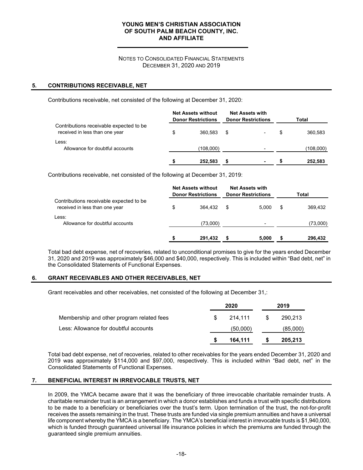### NOTES TO CONSOLIDATED FINANCIAL STATEMENTS DECEMBER 31, 2020 AND 2019

# **5. CONTRIBUTIONS RECEIVABLE, NET**

Contributions receivable, net consisted of the following at December 31, 2020:

|                                                                           | <b>Net Assets without</b><br><b>Donor Restrictions</b> |           | <b>Net Assets with</b><br><b>Donor Restrictions</b> |   | Total |           |  |
|---------------------------------------------------------------------------|--------------------------------------------------------|-----------|-----------------------------------------------------|---|-------|-----------|--|
| Contributions receivable expected to be<br>received in less than one year | \$                                                     | 360.583   | S                                                   | ۰ | S     | 360,583   |  |
| Less:<br>Allowance for doubtful accounts                                  |                                                        | (108,000) |                                                     | - |       | (108,000) |  |
|                                                                           | S                                                      | 252,583   |                                                     | ۰ |       | 252,583   |  |

Contributions receivable, net consisted of the following at December 31, 2019:

|                                                                           | <b>Net Assets without</b><br><b>Donor Restrictions</b> |          |   | <b>Net Assets with</b><br><b>Donor Restrictions</b> | Total |          |  |
|---------------------------------------------------------------------------|--------------------------------------------------------|----------|---|-----------------------------------------------------|-------|----------|--|
| Contributions receivable expected to be<br>received in less than one year | \$                                                     | 364.432  | S | 5.000                                               | \$    | 369,432  |  |
| Less:<br>Allowance for doubtful accounts                                  |                                                        | (73,000) |   | $\overline{\phantom{0}}$                            |       | (73,000) |  |
|                                                                           | S                                                      | 291,432  |   | 5,000                                               | S     | 296,432  |  |

Total bad debt expense, net of recoveries, related to unconditional promises to give for the years ended December 31, 2020 and 2019 was approximately \$46,000 and \$40,000, respectively. This is included within "Bad debt, net" in the Consolidated Statements of Functional Expenses.

# **6. GRANT RECEIVABLES AND OTHER RECEIVABLES, NET**

Grant receivables and other receivables, net consisted of the following at December 31,:

|                                           | 2020     |    | 2019     |  |  |
|-------------------------------------------|----------|----|----------|--|--|
| Membership and other program related fees | 214.111  | £. | 290.213  |  |  |
| Less: Allowance for doubtful accounts     | (50,000) |    | (85,000) |  |  |
|                                           | 164.111  |    | 205,213  |  |  |

Total bad debt expense, net of recoveries, related to other receivables for the years ended December 31, 2020 and 2019 was approximately \$114,000 and \$97,000, respectively. This is included within "Bad debt, net" in the Consolidated Statements of Functional Expenses.

# **7. BENEFICIAL INTEREST IN IRREVOCABLE TRUSTS, NET**

In 2009, the YMCA became aware that it was the beneficiary of three irrevocable charitable remainder trusts. A charitable remainder trust is an arrangement in which a donor establishes and funds a trust with specific distributions to be made to a beneficiary or beneficiaries over the trust's term. Upon termination of the trust, the not-for-profit receives the assets remaining in the trust. These trusts are funded via single premium annuities and have a universal life component whereby the YMCA is a beneficiary. The YMCA's beneficial interest in irrevocable trusts is \$1,940,000, which is funded through guaranteed universal life insurance policies in which the premiums are funded through the guaranteed single premium annuities.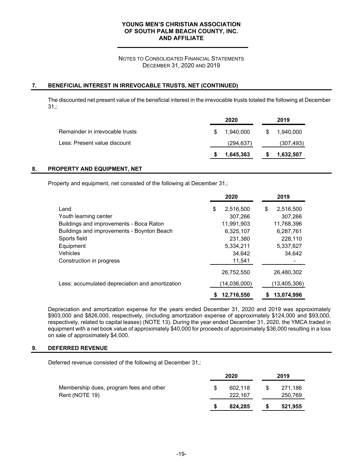# NOTES TO CONSOLIDATED FINANCIAL STATEMENTS DECEMBER 31, 2020 AND 2019

# **7. BENEFICIAL INTEREST IN IRREVOCABLE TRUSTS, NET (CONTINUED)**

The discounted net present value of the beneficial interest in the irrevocable trusts totaled the following at December 31,:

|                                 | 2020 |            |    | 2019       |
|---------------------------------|------|------------|----|------------|
| Remainder in irrevocable trusts | S    | 1.940.000  | S. | 1,940,000  |
| Less: Present value discount    |      | (294, 637) |    | (307, 493) |
|                                 |      | 1,645,363  |    | 1,632,507  |

# **8. PROPERTY AND EQUIPMENT, NET**

Property and equipment, net consisted of the following at December 31,:

|                                                 | 2020            | 2019            |
|-------------------------------------------------|-----------------|-----------------|
| Land                                            | \$<br>2,516,500 | \$<br>2,516,500 |
| Youth learning center                           | 307,266         | 307,266         |
| Buildings and improvements - Boca Raton         | 11.991.903      | 11,768,396      |
| Buildings and improvements - Boynton Beach      | 6,325,107       | 6,287,761       |
| Sports field                                    | 231,380         | 228,110         |
| Equipment                                       | 5,334,211       | 5,337,627       |
| Vehicles                                        | 34,642          | 34,642          |
| Construction in progress                        | 11.541          |                 |
|                                                 | 26,752,550      | 26,480,302      |
| Less: accumulated depreciation and amortization | (14,036,000)    | (13,405,306)    |
|                                                 | 12,716,550      | 13,074,996      |

Depreciation and amortization expense for the years ended December 31, 2020 and 2019 was approximately \$903,000 and \$826,000, respectively, (including amortization expense of approximately \$124,000 and \$93,000, respectively, related to capital leases) (NOTE 13). During the year ended December 31, 2020, the YMCA traded in equipment with a net book value of approximately \$40,000 for proceeds of approximately \$36,000 resulting in a loss on sale of approximately \$4,000.

# **9. DEFERRED REVENUE**

Deferred revenue consisted of the following at December 31,:

|                                                           | 2020 | 2019               |   |                    |
|-----------------------------------------------------------|------|--------------------|---|--------------------|
| Membership dues, program fees and other<br>Rent (NOTE 19) |      | 602.118<br>222,167 | S | 271.186<br>250,769 |
|                                                           |      | 824.285            |   | 521,955            |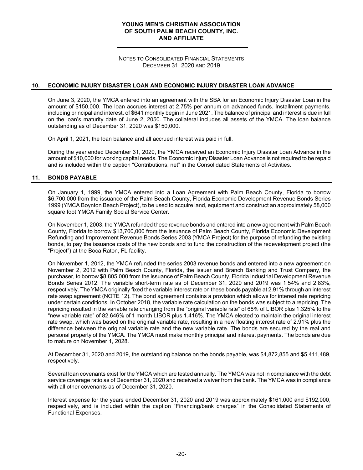#### NOTES TO CONSOLIDATED FINANCIAL STATEMENTS DECEMBER 31, 2020 AND 2019

# **10. ECONOMIC INJURY DISASTER LOAN AND ECONOMIC INJURY DISASTER LOAN ADVANCE**

On June 3, 2020, the YMCA entered into an agreement with the SBA for an Economic Injury Disaster Loan in the amount of \$150,000. The loan accrues interest at 2.75% per annum on advanced funds. Installment payments, including principal and interest, of \$641 monthly begin in June 2021. The balance of principal and interest is due in full on the loan's maturity date of June 2, 2050. The collateral includes all assets of the YMCA. The loan balance outstanding as of December 31, 2020 was \$150,000.

On April 1, 2021, the loan balance and all accrued interest was paid in full.

During the year ended December 31, 2020, the YMCA received an Economic Injury Disaster Loan Advance in the amount of \$10,000 for working capital needs. The Economic Injury Disaster Loan Advance is not required to be repaid and is included within the caption "Contributions, net" in the Consolidated Statements of Activities.

# **11. BONDS PAYABLE**

On January 1, 1999, the YMCA entered into a Loan Agreement with Palm Beach County, Florida to borrow \$6,700,000 from the issuance of the Palm Beach County, Florida Economic Development Revenue Bonds Series 1999 (YMCA Boynton Beach Project), to be used to acquire land, equipment and construct an approximately 58,000 square foot YMCA Family Social Service Center.

On November 1, 2003, the YMCA refunded these revenue bonds and entered into a new agreement with Palm Beach County, Florida to borrow \$13,700,000 from the issuance of Palm Beach County, Florida Economic Development Refunding and Improvement Revenue Bonds Series 2003 (YMCA Project) for the purpose of refunding the existing bonds, to pay the issuance costs of the new bonds and to fund the construction of the redevelopment project (the "Project") at the Boca Raton, FL facility.

On November 1, 2012, the YMCA refunded the series 2003 revenue bonds and entered into a new agreement on November 2, 2012 with Palm Beach County, Florida, the issuer and Branch Banking and Trust Company, the purchaser, to borrow \$8,805,000 from the issuance of Palm Beach County, Florida Industrial Development Revenue Bonds Series 2012. The variable short-term rate as of December 31, 2020 and 2019 was 1.54% and 2.83%, respectively. The YMCA originally fixed the variable interest rate on these bonds payable at 2.91% through an interest rate swap agreement (NOTE 12). The bond agreement contains a provision which allows for interest rate repricing under certain conditions. In October 2018, the variable rate calculation on the bonds was subject to a repricing. The repricing resulted in the variable rate changing from the "original variable rate" of 68% of LIBOR plus 1.325% to the "new variable rate" of 82.646% of 1 month LIBOR plus 1.416%. The YMCA elected to maintain the original interest rate swap, which was based on the original variable rate, resulting in a new floating interest rate of 2.91% plus the difference between the original variable rate and the new variable rate. The bonds are secured by the real and personal property of the YMCA. The YMCA must make monthly principal and interest payments. The bonds are due to mature on November 1, 2028.

At December 31, 2020 and 2019, the outstanding balance on the bonds payable, was \$4,872,855 and \$5,411,489, respectively.

Several loan covenants exist for the YMCA which are tested annually. The YMCA was not in compliance with the debt service coverage ratio as of December 31, 2020 and received a waiver from the bank. The YMCA was in compliance with all other covenants as of December 31, 2020.

Interest expense for the years ended December 31, 2020 and 2019 was approximately \$161,000 and \$192,000, respectively, and is included within the caption "Financing/bank charges" in the Consolidated Statements of Functional Expenses.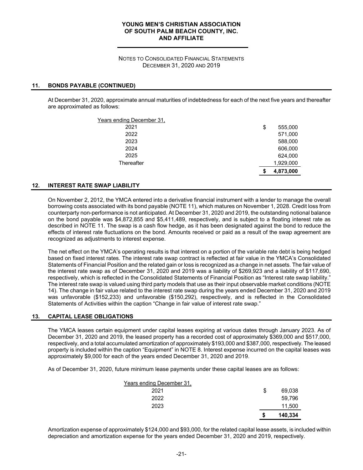#### NOTES TO CONSOLIDATED FINANCIAL STATEMENTS DECEMBER 31, 2020 AND 2019

# **11. BONDS PAYABLE (CONTINUED)**

At December 31, 2020, approximate annual maturities of indebtedness for each of the next five years and thereafter are approximated as follows:

| Years ending December 31, |    |           |
|---------------------------|----|-----------|
| 2021                      | \$ | 555,000   |
| 2022                      |    | 571,000   |
| 2023                      |    | 588,000   |
| 2024                      |    | 606,000   |
| 2025                      |    | 624,000   |
| Thereafter                |    | 1,929,000 |
|                           | S  | 4,873,000 |
|                           |    |           |

#### **12. INTEREST RATE SWAP LIABILITY**

On November 2, 2012, the YMCA entered into a derivative financial instrument with a lender to manage the overall borrowing costs associated with its bond payable (NOTE 11), which matures on November 1, 2028. Credit loss from counterparty non-performance is not anticipated. At December 31, 2020 and 2019, the outstanding notional balance on the bond payable was \$4,872,855 and \$5,411,489, respectively, and is subject to a floating interest rate as described in NOTE 11. The swap is a cash flow hedge, as it has been designated against the bond to reduce the effects of interest rate fluctuations on the bond. Amounts received or paid as a result of the swap agreement are recognized as adjustments to interest expense.

The net effect on the YMCA's operating results is that interest on a portion of the variable rate debt is being hedged based on fixed interest rates. The interest rate swap contract is reflected at fair value in the YMCA's Consolidated Statements of Financial Position and the related gain or loss is recognized as a change in net assets. The fair value of the interest rate swap as of December 31, 2020 and 2019 was a liability of \$269,923 and a liability of \$117,690, respectively, which is reflected in the Consolidated Statements of Financial Position as "Interest rate swap liability." The interest rate swap is valued using third party models that use as their input observable market conditions (NOTE 14). The change in fair value related to the interest rate swap during the years ended December 31, 2020 and 2019 was unfavorable (\$152,233) and unfavorable (\$150,292), respectively, and is reflected in the Consolidated Statements of Activities within the caption "Change in fair value of interest rate swap."

#### **13. CAPITAL LEASE OBLIGATIONS**

The YMCA leases certain equipment under capital leases expiring at various dates through January 2023. As of December 31, 2020 and 2019, the leased property has a recorded cost of approximately \$369,000 and \$517,000, respectively, and a total accumulated amortization of approximately \$193,000 and \$387,000, respectively. The leased property is included within the caption "Equipment" in NOTE 8. Interest expense incurred on the capital leases was approximately \$9,000 for each of the years ended December 31, 2020 and 2019.

As of December 31, 2020, future minimum lease payments under these capital leases are as follows:

|                           | S  | 140,334 |
|---------------------------|----|---------|
| 2023                      |    | 11,500  |
| 2022                      |    | 59.796  |
| 2021                      | \$ | 69,038  |
| Years ending December 31, |    |         |

Amortization expense of approximately \$124,000 and \$93,000, for the related capital lease assets, is included within depreciation and amortization expense for the years ended December 31, 2020 and 2019, respectively.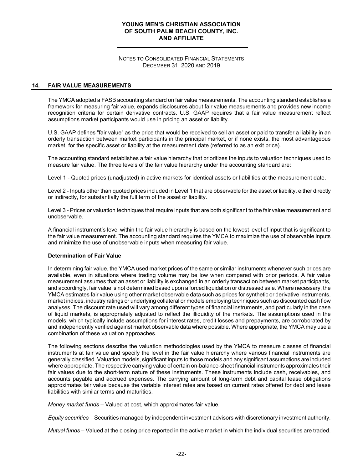### NOTES TO CONSOLIDATED FINANCIAL STATEMENTS DECEMBER 31, 2020 AND 2019

# **14. FAIR VALUE MEASUREMENTS**

The YMCA adopted a FASB accounting standard on fair value measurements. The accounting standard establishes a framework for measuring fair value, expands disclosures about fair value measurements and provides new income recognition criteria for certain derivative contracts. U.S. GAAP requires that a fair value measurement reflect assumptions market participants would use in pricing an asset or liability.

U.S. GAAP defines "fair value" as the price that would be received to sell an asset or paid to transfer a liability in an orderly transaction between market participants in the principal market, or if none exists, the most advantageous market, for the specific asset or liability at the measurement date (referred to as an exit price).

The accounting standard establishes a fair value hierarchy that prioritizes the inputs to valuation techniques used to measure fair value. The three levels of the fair value hierarchy under the accounting standard are:

Level 1 - Quoted prices (unadjusted) in active markets for identical assets or liabilities at the measurement date.

Level 2 - Inputs other than quoted prices included in Level 1 that are observable for the asset or liability, either directly or indirectly, for substantially the full term of the asset or liability.

Level 3 - Prices or valuation techniques that require inputs that are both significant to the fair value measurement and unobservable.

A financial instrument's level within the fair value hierarchy is based on the lowest level of input that is significant to the fair value measurement. The accounting standard requires the YMCA to maximize the use of observable inputs and minimize the use of unobservable inputs when measuring fair value.

#### **Determination of Fair Value**

In determining fair value, the YMCA used market prices of the same or similar instruments whenever such prices are available, even in situations where trading volume may be low when compared with prior periods. A fair value measurement assumes that an asset or liability is exchanged in an orderly transaction between market participants, and accordingly, fair value is not determined based upon a forced liquidation or distressed sale. Where necessary, the YMCA estimates fair value using other market observable data such as prices for synthetic or derivative instruments, market indices, industry ratings or underlying collateral or models employing techniques such as discounted cash flow analyses. The discount rate used will vary among different types of financial instruments, and particularly in the case of liquid markets, is appropriately adjusted to reflect the illiquidity of the markets. The assumptions used in the models, which typically include assumptions for interest rates, credit losses and prepayments, are corroborated by and independently verified against market observable data where possible. Where appropriate, the YMCA may use a combination of these valuation approaches.

The following sections describe the valuation methodologies used by the YMCA to measure classes of financial instruments at fair value and specify the level in the fair value hierarchy where various financial instruments are generally classified. Valuation models, significant inputs to those models and any significant assumptions are included where appropriate. The respective carrying value of certain on-balance-sheet financial instruments approximates their fair values due to the short-term nature of these instruments. These instruments include cash, receivables, and accounts payable and accrued expenses. The carrying amount of long-term debt and capital lease obligations approximates fair value because the variable interest rates are based on current rates offered for debt and lease liabilities with similar terms and maturities.

*Money market funds* – Valued at cost, which approximates fair value.

*Equity securities* – Securities managed by independent investment advisors with discretionary investment authority.

*Mutual funds –* Valued at the closing price reported in the active market in which the individual securities are traded.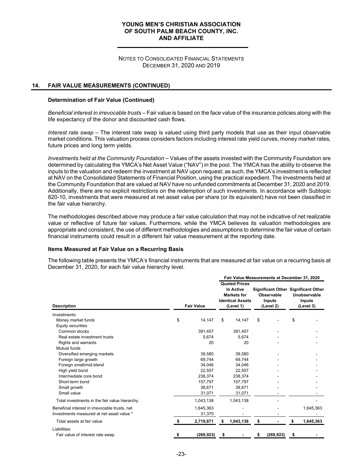NOTES TO CONSOLIDATED FINANCIAL STATEMENTS DECEMBER 31, 2020 AND 2019

#### **14. FAIR VALUE MEASUREMENTS (CONTINUED)**

#### **Determination of Fair Value (Continued)**

*Beneficial interest in irrevocable trusts –* Fair value is based on the face value of the insurance policies along with the life expectancy of the donor and discounted cash flows.

*Interest rate swap* – The interest rate swap is valued using third party models that use as their input observable market conditions. This valuation process considers factors including interest rate yield curves, money market rates, future prices and long term yields.

*Investments held at the Community Foundation* – Values of the assets invested with the Community Foundation are determined by calculating the YMCA's Net Asset Value ("NAV") in the pool. The YMCA has the ability to observe the inputs to the valuation and redeem the investment at NAV upon request; as such, the YMCA's investment is reflected at NAV on the Consolidated Statements of Financial Position, using the practical expedient. The investments held at the Community Foundation that are valued at NAV have no unfunded commitments at December 31, 2020 and 2019. Additionally, there are no explicit restrictions on the redemption of such investments. In accordance with Subtopic 820-10, investments that were measured at net asset value per share (or its equivalent) have not been classified in the fair value hierarchy.

The methodologies described above may produce a fair value calculation that may not be indicative of net realizable value or reflective of future fair values. Furthermore, while the YMCA believes its valuation methodologies are appropriate and consistent, the use of different methodologies and assumptions to determine the fair value of certain financial instruments could result in a different fair value measurement at the reporting date.

#### **Items Measured at Fair Value on a Recurring Basis**

The following table presents the YMCA's financial instruments that are measured at fair value on a recurring basis at December 31, 2020, for each fair value hierarchy level.

|                                                | Fair Value Measurements at December 31, 2020 |                                                                                                 |           |                                          |            |                                                                                          |           |  |
|------------------------------------------------|----------------------------------------------|-------------------------------------------------------------------------------------------------|-----------|------------------------------------------|------------|------------------------------------------------------------------------------------------|-----------|--|
| <b>Description</b>                             | <b>Fair Value</b>                            | <b>Quoted Prices</b><br>In Active<br><b>Markets for</b><br><b>Identical Assets</b><br>(Level 1) |           | Observable<br><b>Inputs</b><br>(Level 2) |            | <b>Significant Other Significant Other</b><br>Unobservable<br><b>Inputs</b><br>(Level 3) |           |  |
| Investments:                                   |                                              |                                                                                                 |           |                                          |            |                                                                                          |           |  |
| Money market funds                             | \$<br>14,147                                 | \$                                                                                              | 14,147    | \$                                       |            | \$                                                                                       |           |  |
| Equity securities                              |                                              |                                                                                                 |           |                                          |            |                                                                                          |           |  |
| Common stocks                                  | 391,457                                      |                                                                                                 | 391,457   |                                          |            |                                                                                          |           |  |
| Real estate investment trusts                  | 5,674                                        |                                                                                                 | 5,674     |                                          |            |                                                                                          |           |  |
| Rights and warrants                            | 20                                           |                                                                                                 | 20        |                                          |            |                                                                                          |           |  |
| Mutual funds                                   |                                              |                                                                                                 |           |                                          |            |                                                                                          |           |  |
| Diversified emerging markets                   | 39,580                                       |                                                                                                 | 39,580    |                                          |            |                                                                                          |           |  |
| Foreign large growth                           | 69,744                                       |                                                                                                 | 69,744    |                                          |            |                                                                                          |           |  |
| Foreign small/mid-blend                        | 34,046                                       |                                                                                                 | 34,046    |                                          |            |                                                                                          |           |  |
| High yield bond                                | 22,557                                       |                                                                                                 | 22,557    |                                          |            |                                                                                          |           |  |
| Intermediate core bond                         | 238.374                                      |                                                                                                 | 238.374   |                                          |            |                                                                                          |           |  |
| Short-term bond                                | 157,797                                      |                                                                                                 | 157,797   |                                          |            |                                                                                          |           |  |
| Small growth                                   | 38.671                                       |                                                                                                 | 38.671    |                                          |            |                                                                                          |           |  |
| Small value                                    | 31,071                                       |                                                                                                 | 31,071    |                                          |            |                                                                                          |           |  |
| Total investments in the fair value hierarchy  | 1,043,138                                    |                                                                                                 | 1,043,138 |                                          |            |                                                                                          |           |  |
| Beneficial interest in irrevocable trusts, net | 1,645,363                                    |                                                                                                 |           |                                          |            |                                                                                          | 1,645,363 |  |
| Investments measured at net asset value *      | 31,370                                       |                                                                                                 |           |                                          |            |                                                                                          |           |  |
| Total assets at fair value                     | 2,719,871                                    |                                                                                                 | 1,043,138 | \$                                       |            | \$                                                                                       | 1,645,363 |  |
| Liabilities:                                   |                                              |                                                                                                 |           |                                          |            |                                                                                          |           |  |
| Fair value of interest rate swap               | \$<br>(269, 923)                             | \$                                                                                              |           | \$                                       | (269, 923) | \$                                                                                       |           |  |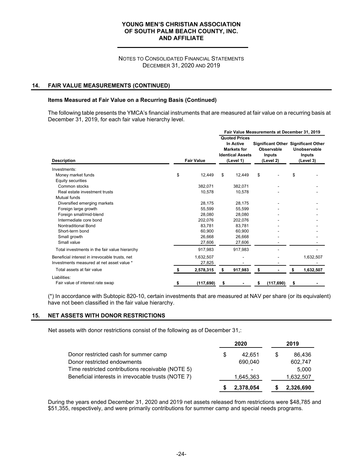# NOTES TO CONSOLIDATED FINANCIAL STATEMENTS DECEMBER 31, 2020 AND 2019

# **14. FAIR VALUE MEASUREMENTS (CONTINUED)**

# **Items Measured at Fair Value on a Recurring Basis (Continued)**

The following table presents the YMCA's financial instruments that are measured at fair value on a recurring basis at December 31, 2019, for each fair value hierarchy level.

|                                                |    | Fair Value Measurements at December 31, 2019 |                                                                                                 |         |                                          |           |                                                                                   |           |  |
|------------------------------------------------|----|----------------------------------------------|-------------------------------------------------------------------------------------------------|---------|------------------------------------------|-----------|-----------------------------------------------------------------------------------|-----------|--|
| <b>Description</b>                             |    | <b>Fair Value</b>                            | <b>Quoted Prices</b><br>In Active<br><b>Markets for</b><br><b>Identical Assets</b><br>(Level 1) |         | Observable<br><b>Inputs</b><br>(Level 2) |           | <b>Significant Other Significant Other</b><br>Unobservable<br>Inputs<br>(Level 3) |           |  |
| Investments:                                   |    |                                              |                                                                                                 |         |                                          |           |                                                                                   |           |  |
| Money market funds                             | \$ | 12,449                                       | \$                                                                                              | 12,449  | \$                                       |           | \$                                                                                |           |  |
| Equity securities                              |    |                                              |                                                                                                 |         |                                          |           |                                                                                   |           |  |
| Common stocks                                  |    | 382,071                                      |                                                                                                 | 382,071 |                                          |           |                                                                                   |           |  |
| Real estate investment trusts                  |    | 10,578                                       |                                                                                                 | 10,578  |                                          |           |                                                                                   |           |  |
| Mutual funds                                   |    |                                              |                                                                                                 |         |                                          |           |                                                                                   |           |  |
| Diversified emerging markets                   |    | 28,175                                       |                                                                                                 | 28,175  |                                          |           |                                                                                   |           |  |
| Foreign large growth                           |    | 55,599                                       |                                                                                                 | 55,599  |                                          |           |                                                                                   |           |  |
| Foreign small/mid-blend                        |    | 28.080                                       |                                                                                                 | 28.080  |                                          |           |                                                                                   |           |  |
| Intermediate core bond                         |    | 202.076                                      |                                                                                                 | 202.076 |                                          |           |                                                                                   |           |  |
| <b>Nontraditional Bond</b>                     |    | 83.781                                       |                                                                                                 | 83.781  |                                          |           |                                                                                   |           |  |
| Short-term bond                                |    | 60,900                                       |                                                                                                 | 60,900  |                                          |           |                                                                                   |           |  |
| Small growth                                   |    | 26.668                                       |                                                                                                 | 26.668  |                                          |           |                                                                                   |           |  |
| Small value                                    |    | 27,606                                       |                                                                                                 | 27,606  |                                          |           |                                                                                   |           |  |
| Total investments in the fair value hierarchy  |    | 917,983                                      |                                                                                                 | 917,983 |                                          |           |                                                                                   |           |  |
| Beneficial interest in irrevocable trusts, net |    | 1,632,507                                    |                                                                                                 |         |                                          |           |                                                                                   | 1,632,507 |  |
| Investments measured at net asset value *      |    | 27,825                                       |                                                                                                 |         |                                          |           |                                                                                   |           |  |
| Total assets at fair value                     | S  | 2,578,315                                    |                                                                                                 | 917,983 | \$                                       |           | \$                                                                                | 1,632,507 |  |
| Liabilities:                                   |    |                                              |                                                                                                 |         |                                          |           |                                                                                   |           |  |
| Fair value of interest rate swap               | \$ | (117, 690)                                   | \$                                                                                              |         | \$                                       | (117,690) | \$                                                                                |           |  |

(\*) In accordance with Subtopic 820-10, certain investments that are measured at NAV per share (or its equivalent) have not been classified in the fair value hierarchy.

#### **15. NET ASSETS WITH DONOR RESTRICTIONS**

Net assets with donor restrictions consist of the following as of December 31,:

|                                                     |           | 2020      |           | 2019      |
|-----------------------------------------------------|-----------|-----------|-----------|-----------|
| Donor restricted cash for summer camp               |           | 42.651    |           | 86.436    |
| Donor restricted endowments                         |           | 690,040   |           | 602,747   |
| Time restricted contributions receivable (NOTE 5)   |           |           |           | 5.000     |
| Beneficial interests in irrevocable trusts (NOTE 7) | 1,645,363 |           | 1,632,507 |           |
|                                                     |           | 2,378,054 |           | 2,326,690 |

During the years ended December 31, 2020 and 2019 net assets released from restrictions were \$48,785 and \$51,355, respectively, and were primarily contributions for summer camp and special needs programs.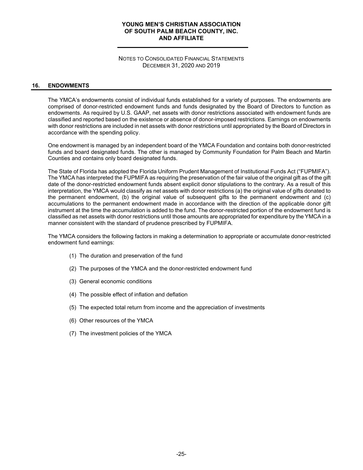NOTES TO CONSOLIDATED FINANCIAL STATEMENTS DECEMBER 31, 2020 AND 2019

#### **16. ENDOWMENTS**

The YMCA's endowments consist of individual funds established for a variety of purposes. The endowments are comprised of donor-restricted endowment funds and funds designated by the Board of Directors to function as endowments. As required by U.S. GAAP, net assets with donor restrictions associated with endowment funds are classified and reported based on the existence or absence of donor-imposed restrictions. Earnings on endowments with donor restrictions are included in net assets with donor restrictions until appropriated by the Board of Directors in accordance with the spending policy.

One endowment is managed by an independent board of the YMCA Foundation and contains both donor-restricted funds and board designated funds. The other is managed by Community Foundation for Palm Beach and Martin Counties and contains only board designated funds.

The State of Florida has adopted the Florida Uniform Prudent Management of Institutional Funds Act ("FUPMIFA"). The YMCA has interpreted the FUPMIFA as requiring the preservation of the fair value of the original gift as of the gift date of the donor-restricted endowment funds absent explicit donor stipulations to the contrary. As a result of this interpretation, the YMCA would classify as net assets with donor restrictions (a) the original value of gifts donated to the permanent endowment, (b) the original value of subsequent gifts to the permanent endowment and (c) accumulations to the permanent endowment made in accordance with the direction of the applicable donor gift instrument at the time the accumulation is added to the fund. The donor-restricted portion of the endowment fund is classified as net assets with donor restrictions until those amounts are appropriated for expenditure by the YMCA in a manner consistent with the standard of prudence prescribed by FUPMIFA.

The YMCA considers the following factors in making a determination to appropriate or accumulate donor-restricted endowment fund earnings:

- (1) The duration and preservation of the fund
- (2) The purposes of the YMCA and the donor-restricted endowment fund
- (3) General economic conditions
- (4) The possible effect of inflation and deflation
- (5) The expected total return from income and the appreciation of investments
- (6) Other resources of the YMCA
- (7) The investment policies of the YMCA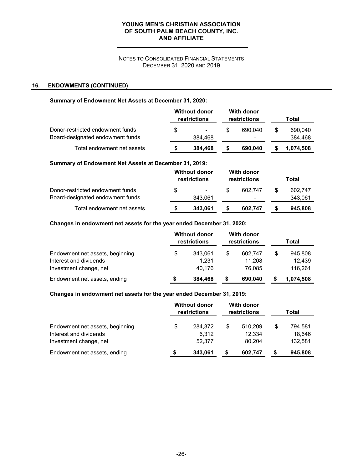# NOTES TO CONSOLIDATED FINANCIAL STATEMENTS DECEMBER 31, 2020 AND 2019

# **16. ENDOWMENTS (CONTINUED)**

### **Summary of Endowment Net Assets at December 31, 2020:**

|                                  | <b>Without donor</b><br>restrictions |         | <b>With donor</b><br>restrictions |                          | Total |           |
|----------------------------------|--------------------------------------|---------|-----------------------------------|--------------------------|-------|-----------|
| Donor-restricted endowment funds | S                                    |         |                                   | 690.040                  | \$.   | 690.040   |
| Board-designated endowment funds |                                      | 384.468 |                                   | $\overline{\phantom{a}}$ |       | 384,468   |
| Total endowment net assets       |                                      | 384,468 |                                   | 690.040                  |       | 1.074.508 |

# **Summary of Endowment Net Assets at December 31, 2019:**

|                                                                      | <b>Without donor</b><br>restrictions |                   | With donor<br>restrictions |         | Total |                    |
|----------------------------------------------------------------------|--------------------------------------|-------------------|----------------------------|---------|-------|--------------------|
| Donor-restricted endowment funds<br>Board-designated endowment funds | S                                    | $\sim$<br>343,061 | S                          | 602.747 | \$    | 602.747<br>343,061 |
| Total endowment net assets                                           |                                      | 343.061           | S                          | 602.747 |       | 945.808            |

# **Changes in endowment net assets for the year ended December 31, 2020:**

|                                 | <b>Without donor</b><br>restrictions |         | With donor<br>restrictions |         | Total |           |
|---------------------------------|--------------------------------------|---------|----------------------------|---------|-------|-----------|
| Endowment net assets, beginning | \$                                   | 343.061 | \$                         | 602.747 | \$    | 945,808   |
| Interest and dividends          |                                      | 1.231   |                            | 11.208  |       | 12,439    |
| Investment change, net          |                                      | 40.176  |                            | 76.085  |       | 116,261   |
| Endowment net assets, ending    |                                      | 384,468 | S                          | 690,040 |       | 1,074,508 |

# **Changes in endowment net assets for the year ended December 31, 2019:**

|                                 | <b>Without donor</b><br>restrictions |         | <b>With donor</b><br>restrictions |         | Total |         |
|---------------------------------|--------------------------------------|---------|-----------------------------------|---------|-------|---------|
| Endowment net assets, beginning | \$                                   | 284,372 | \$                                | 510.209 | \$    | 794.581 |
| Interest and dividends          |                                      | 6,312   |                                   | 12.334  |       | 18,646  |
| Investment change, net          |                                      | 52,377  |                                   | 80,204  |       | 132,581 |
| Endowment net assets, ending    |                                      | 343,061 | S                                 | 602.747 | S     | 945,808 |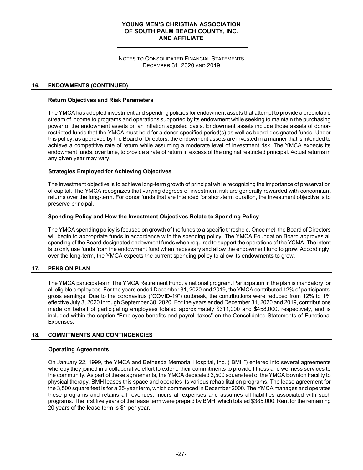NOTES TO CONSOLIDATED FINANCIAL STATEMENTS DECEMBER 31, 2020 AND 2019

# **16. ENDOWMENTS (CONTINUED)**

#### **Return Objectives and Risk Parameters**

The YMCA has adopted investment and spending policies for endowment assets that attempt to provide a predictable stream of income to programs and operations supported by its endowment while seeking to maintain the purchasing power of the endowment assets on an inflation adjusted basis. Endowment assets include those assets of donorrestricted funds that the YMCA must hold for a donor-specified period(s) as well as board-designated funds. Under this policy, as approved by the Board of Directors, the endowment assets are invested in a manner that is intended to achieve a competitive rate of return while assuming a moderate level of investment risk. The YMCA expects its endowment funds, over time, to provide a rate of return in excess of the original restricted principal. Actual returns in any given year may vary.

#### **Strategies Employed for Achieving Objectives**

The investment objective is to achieve long-term growth of principal while recognizing the importance of preservation of capital. The YMCA recognizes that varying degrees of investment risk are generally rewarded with concomitant returns over the long-term. For donor funds that are intended for short-term duration, the investment objective is to preserve principal.

#### **Spending Policy and How the Investment Objectives Relate to Spending Policy**

The YMCA spending policy is focused on growth of the funds to a specific threshold. Once met, the Board of Directors will begin to appropriate funds in accordance with the spending policy. The YMCA Foundation Board approves all spending of the Board-designated endowment funds when required to support the operations of the YCMA. The intent is to only use funds from the endowment fund when necessary and allow the endowment fund to grow. Accordingly, over the long-term, the YMCA expects the current spending policy to allow its endowments to grow.

# **17. PENSION PLAN**

The YMCA participates in The YMCA Retirement Fund, a national program. Participation in the plan is mandatory for all eligible employees. For the years ended December 31, 2020 and 2019, the YMCA contributed 12% of participants' gross earnings. Due to the coronavirus ("COVID-19") outbreak, the contributions were reduced from 12% to 1% effective July 3, 2020 through September 30, 2020. For the years ended December 31, 2020 and 2019, contributions made on behalf of participating employees totaled approximately \$311,000 and \$458,000, respectively, and is included within the caption "Employee benefits and payroll taxes" on the Consolidated Statements of Functional Expenses.

# **18. COMMITMENTS AND CONTINGENCIES**

#### **Operating Agreements**

On January 22, 1999, the YMCA and Bethesda Memorial Hospital, Inc. ("BMH") entered into several agreements whereby they joined in a collaborative effort to extend their commitments to provide fitness and wellness services to the community. As part of these agreements, the YMCA dedicated 3,500 square feet of the YMCA Boynton Facility to physical therapy. BMH leases this space and operates its various rehabilitation programs. The lease agreement for the 3,500 square feet is for a 25-year term, which commenced in December 2000. The YMCA manages and operates these programs and retains all revenues, incurs all expenses and assumes all liabilities associated with such programs. The first five years of the lease term were prepaid by BMH, which totaled \$385,000. Rent for the remaining 20 years of the lease term is \$1 per year.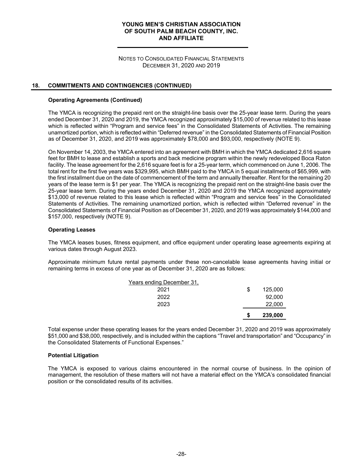NOTES TO CONSOLIDATED FINANCIAL STATEMENTS DECEMBER 31, 2020 AND 2019

# **18. COMMITMENTS AND CONTINGENCIES (CONTINUED)**

#### **Operating Agreements (Continued)**

The YMCA is recognizing the prepaid rent on the straight-line basis over the 25-year lease term. During the years ended December 31, 2020 and 2019, the YMCA recognized approximately \$15,000 of revenue related to this lease which is reflected within "Program and service fees" in the Consolidated Statements of Activities. The remaining unamortized portion, which is reflected within "Deferred revenue" in the Consolidated Statements of Financial Position as of December 31, 2020, and 2019 was approximately \$78,000 and \$93,000, respectively (NOTE 9).

On November 14, 2003, the YMCA entered into an agreement with BMH in which the YMCA dedicated 2,616 square feet for BMH to lease and establish a sports and back medicine program within the newly redeveloped Boca Raton facility. The lease agreement for the 2,616 square feet is for a 25-year term, which commenced on June 1, 2006. The total rent for the first five years was \$329,995, which BMH paid to the YMCA in 5 equal installments of \$65,999, with the first installment due on the date of commencement of the term and annually thereafter. Rent for the remaining 20 years of the lease term is \$1 per year. The YMCA is recognizing the prepaid rent on the straight-line basis over the 25-year lease term. During the years ended December 31, 2020 and 2019 the YMCA recognized approximately \$13,000 of revenue related to this lease which is reflected within "Program and service fees" in the Consolidated Statements of Activities. The remaining unamortized portion, which is reflected within "Deferred revenue" in the Consolidated Statements of Financial Position as of December 31, 2020, and 2019 was approximately \$144,000 and \$157,000, respectively (NOTE 9).

#### **Operating Leases**

The YMCA leases buses, fitness equipment, and office equipment under operating lease agreements expiring at various dates through August 2023.

Approximate minimum future rental payments under these non-cancelable lease agreements having initial or remaining terms in excess of one year as of December 31, 2020 are as follows:

|                           |   | 239,000 |
|---------------------------|---|---------|
| 2023                      |   | 22,000  |
| 2022                      |   | 92,000  |
| 2021                      | S | 125,000 |
| Years ending December 31, |   |         |

Total expense under these operating leases for the years ended December 31, 2020 and 2019 was approximately \$51,000 and \$38,000, respectively, and is included within the captions "Travel and transportation" and "Occupancy" in the Consolidated Statements of Functional Expenses."

#### **Potential Litigation**

The YMCA is exposed to various claims encountered in the normal course of business. In the opinion of management, the resolution of these matters will not have a material effect on the YMCA's consolidated financial position or the consolidated results of its activities.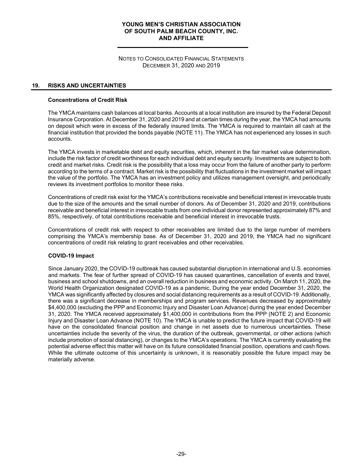NOTES TO CONSOLIDATED FINANCIAL STATEMENTS DECEMBER 31, 2020 AND 2019

#### **19. RISKS AND UNCERTAINTIES**

#### **Concentrations of Credit Risk**

The YMCA maintains cash balances at local banks. Accounts at a local institution are insured by the Federal Deposit Insurance Corporation. At December 31, 2020 and 2019 and at certain times during the year, the YMCA had amounts on deposit which were in excess of the federally insured limits. The YMCA is required to maintain all cash at the financial institution that provided the bonds payable (NOTE 11). The YMCA has not experienced any losses in such accounts.

The YMCA invests in marketable debt and equity securities, which, inherent in the fair market value determination, include the risk factor of credit worthiness for each individual debt and equity security. Investments are subject to both credit and market risks. Credit risk is the possibility that a loss may occur from the failure of another party to perform according to the terms of a contract. Market risk is the possibility that fluctuations in the investment market will impact the value of the portfolio. The YMCA has an investment policy and utilizes management oversight, and periodically reviews its investment portfolios to monitor these risks.

Concentrations of credit risk exist for the YMCA's contributions receivable and beneficial interest in irrevocable trusts due to the size of the amounts and the small number of donors. As of December 31, 2020 and 2019, contributions receivable and beneficial interest in irrevocable trusts from one individual donor represented approximately 87% and 85%, respectively, of total contributions receivable and beneficial interest in irrevocable trusts.

Concentrations of credit risk with respect to other receivables are limited due to the large number of members comprising the YMCA's membership base. As of December 31, 2020 and 2019, the YMCA had no significant concentrations of credit risk relating to grant receivables and other receivables.

# **COVID-19 Impact**

Since January 2020, the COVID-19 outbreak has caused substantial disruption in international and U.S. economies and markets. The fear of further spread of COVID-19 has caused quarantines, cancellation of events and travel, business and school shutdowns, and an overall reduction in business and economic activity. On March 11, 2020, the World Health Organization designated COVID-19 as a pandemic. During the year ended December 31, 2020, the YMCA was significantly affected by closures and social distancing requirements as a result of COVID-19. Additionally, there was a significant decrease in memberships and program services. Revenues decreased by approximately \$4,400,000 (excluding the PPP and Economic Injury and Disaster Loan Advance) during the year ended December 31, 2020. The YMCA received approximately \$1,400,000 in contributions from the PPP (NOTE 2) and Economic Injury and Disaster Loan Advance (NOTE 10). The YMCA is unable to predict the future impact that COVID-19 will have on the consolidated financial position and change in net assets due to numerous uncertainties. These uncertainties include the severity of the virus, the duration of the outbreak, governmental, or other actions (which include promotion of social distancing), or changes to the YMCA's operations. The YMCA is currently evaluating the potential adverse effect this matter will have on its future consolidated financial position, operations and cash flows. While the ultimate outcome of this uncertainty is unknown, it is reasonably possible the future impact may be materially adverse.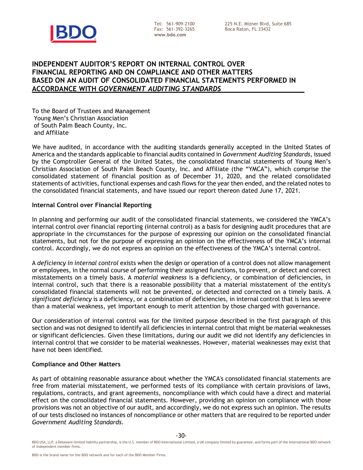

# **INDEPENDENT AUDITOR'S REPORT ON INTERNAL CONTROL OVER FINANCIAL REPORTING AND ON COMPLIANCE AND OTHER MATTERS BASED ON AN AUDIT OF CONSOLIDATED FINANCIAL STATEMENTS PERFORMED IN ACCORDANCE WITH** *GOVERNMENT AUDITING STANDARDS*

To the Board of Trustees and Management Young Men's Christian Association of South Palm Beach County, Inc. and Affiliate

We have audited, in accordance with the auditing standards generally accepted in the United States of America and the standards applicable to financial audits contained in *Government Auditing Standards*, issued by the Comptroller General of the United States, the consolidated financial statements of Young Men's Christian Association of South Palm Beach County, Inc. and Affiliate (the "YMCA"), which comprise the consolidated statement of financial position as of December 31, 2020, and the related consolidated statements of activities, functional expenses and cash flows for the year then ended, and the related notes to the consolidated financial statements, and have issued our report thereon dated June 17, 2021.

# **Internal Control over Financial Reporting**

In planning and performing our audit of the consolidated financial statements, we considered the YMCA's internal control over financial reporting (internal control) as a basis for designing audit procedures that are appropriate in the circumstances for the purpose of expressing our opinion on the consolidated financial statements, but not for the purpose of expressing an opinion on the effectiveness of the YMCA's internal control. Accordingly, we do not express an opinion on the effectiveness of the YMCA's internal control.

A *deficiency in internal control* exists when the design or operation of a control does not allow management or employees, in the normal course of performing their assigned functions, to prevent, or detect and correct misstatements on a timely basis. A *material weakness* is a deficiency, or combination of deficiencies, in internal control, such that there is a reasonable possibility that a material misstatement of the entity's consolidated financial statements will not be prevented, or detected and corrected on a timely basis. A *significant deficiency* is a deficiency, or a combination of deficiencies, in internal control that is less severe than a material weakness, yet important enough to merit attention by those charged with governance.

Our consideration of internal control was for the limited purpose described in the first paragraph of this section and was not designed to identify all deficiencies in internal control that might be material weaknesses or significant deficiencies. Given these limitations, during our audit we did not identify any deficiencies in internal control that we consider to be material weaknesses. However, material weaknesses may exist that have not been identified.

# **Compliance and Other Matters**

As part of obtaining reasonable assurance about whether the YMCA's consolidated financial statements are free from material misstatement, we performed tests of its compliance with certain provisions of laws, regulations, contracts, and grant agreements, noncompliance with which could have a direct and material effect on the consolidated financial statements. However, providing an opinion on compliance with those provisions was not an objective of our audit, and accordingly, we do not express such an opinion. The results of our tests disclosed no instances of noncompliance or other matters that are required to be reported under *Government Auditing Standards*.